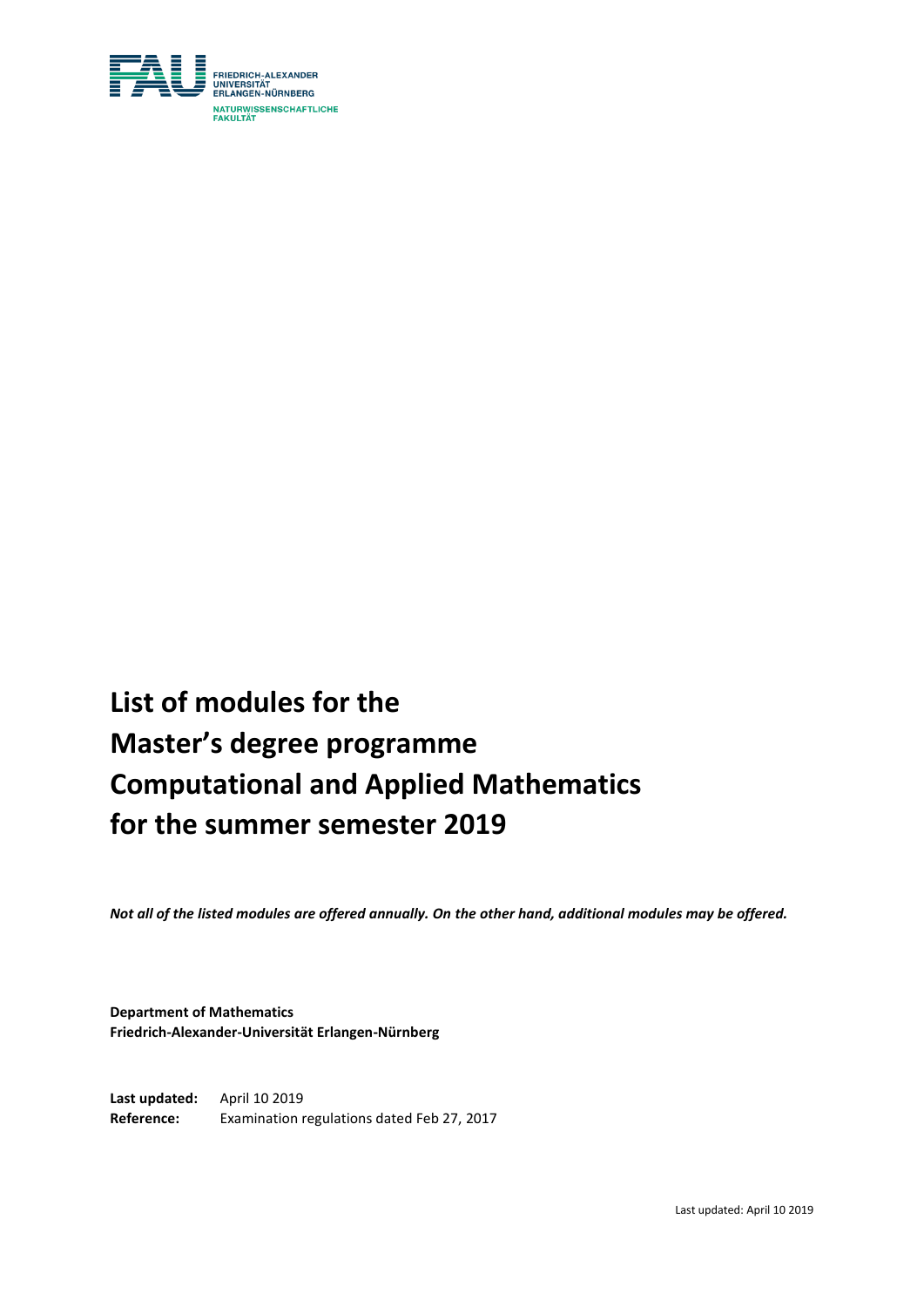

# **List of modules for the Master's degree programme Computational and Applied Mathematics for the summer semester 2019**

*Not all of the listed modules are offered annually. On the other hand, additional modules may be offered.*

**Department of Mathematics Friedrich-Alexander-Universität Erlangen-Nürnberg**

**Last updated:** April 10 2019 **Reference:** Examination regulations dated Feb 27, 2017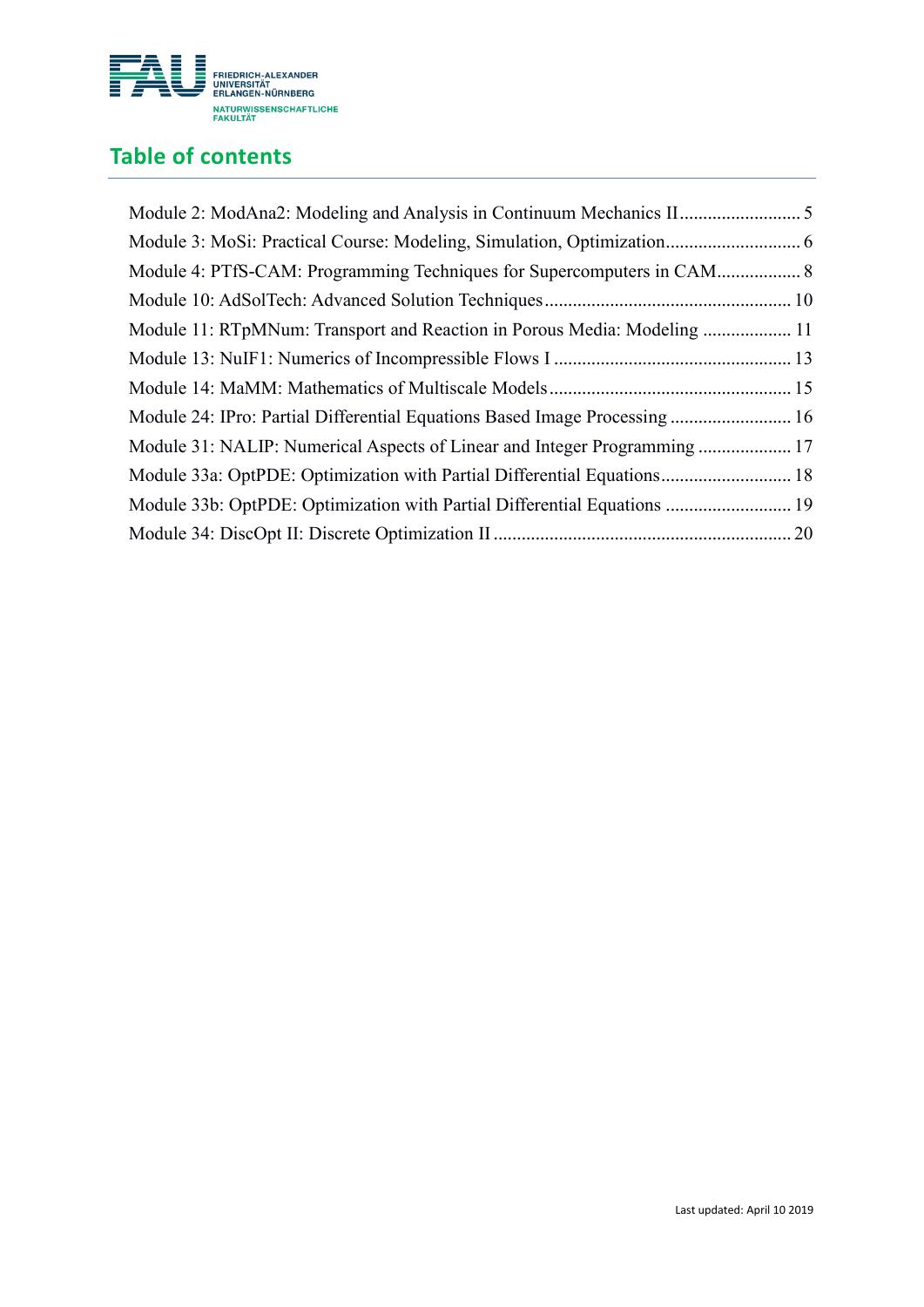

# **Table of contents**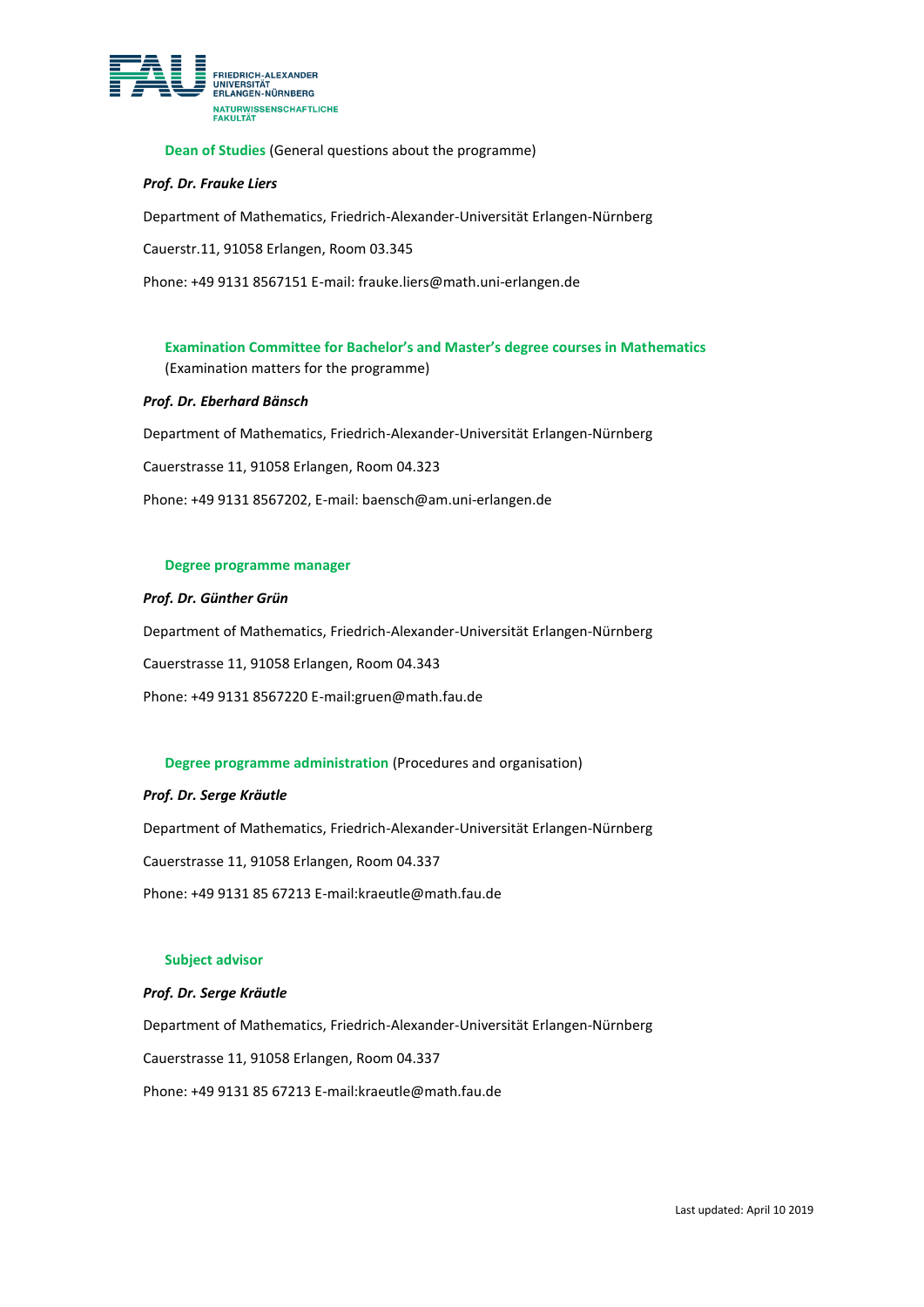

**Dean of Studies** (General questions about the programme)

#### *Prof. Dr. Frauke Liers*

Department of Mathematics, Friedrich-Alexander-Universität Erlangen-Nürnberg

Cauerstr.11, 91058 Erlangen, Room 03.345

Phone: +49 9131 8567151 E-mail: frauke.liers@math.uni-erlangen.de

**Examination Committee for Bachelor's and Master's degree courses in Mathematics** (Examination matters for the programme)

#### *Prof. Dr. Eberhard Bänsch*

Department of Mathematics, Friedrich-Alexander-Universität Erlangen-Nürnberg

Cauerstrasse 11, 91058 Erlangen, Room 04.323

Phone: +49 9131 8567202, E-mail: baensch@am.uni-erlangen.de

#### **Degree programme manager**

*Prof. Dr. Günther Grün*

Department of Mathematics, Friedrich-Alexander-Universität Erlangen-Nürnberg

Cauerstrasse 11, 91058 Erlangen, Room 04.343

Phone: +49 9131 8567220 E-mail:gruen@math.fau.de

#### **Degree programme administration** (Procedures and organisation)

#### *Prof. Dr. Serge Kräutle*

Department of Mathematics, Friedrich-Alexander-Universität Erlangen-Nürnberg

Cauerstrasse 11, 91058 Erlangen, Room 04.337

Phone: +49 9131 85 67213 E-mail:kraeutle@math.fau.de

#### **Subject advisor**

#### *Prof. Dr. Serge Kräutle*

Department of Mathematics, Friedrich-Alexander-Universität Erlangen-Nürnberg Cauerstrasse 11, 91058 Erlangen, Room 04.337 Phone: +49 9131 85 67213 E-mail:kraeutle@math.fau.de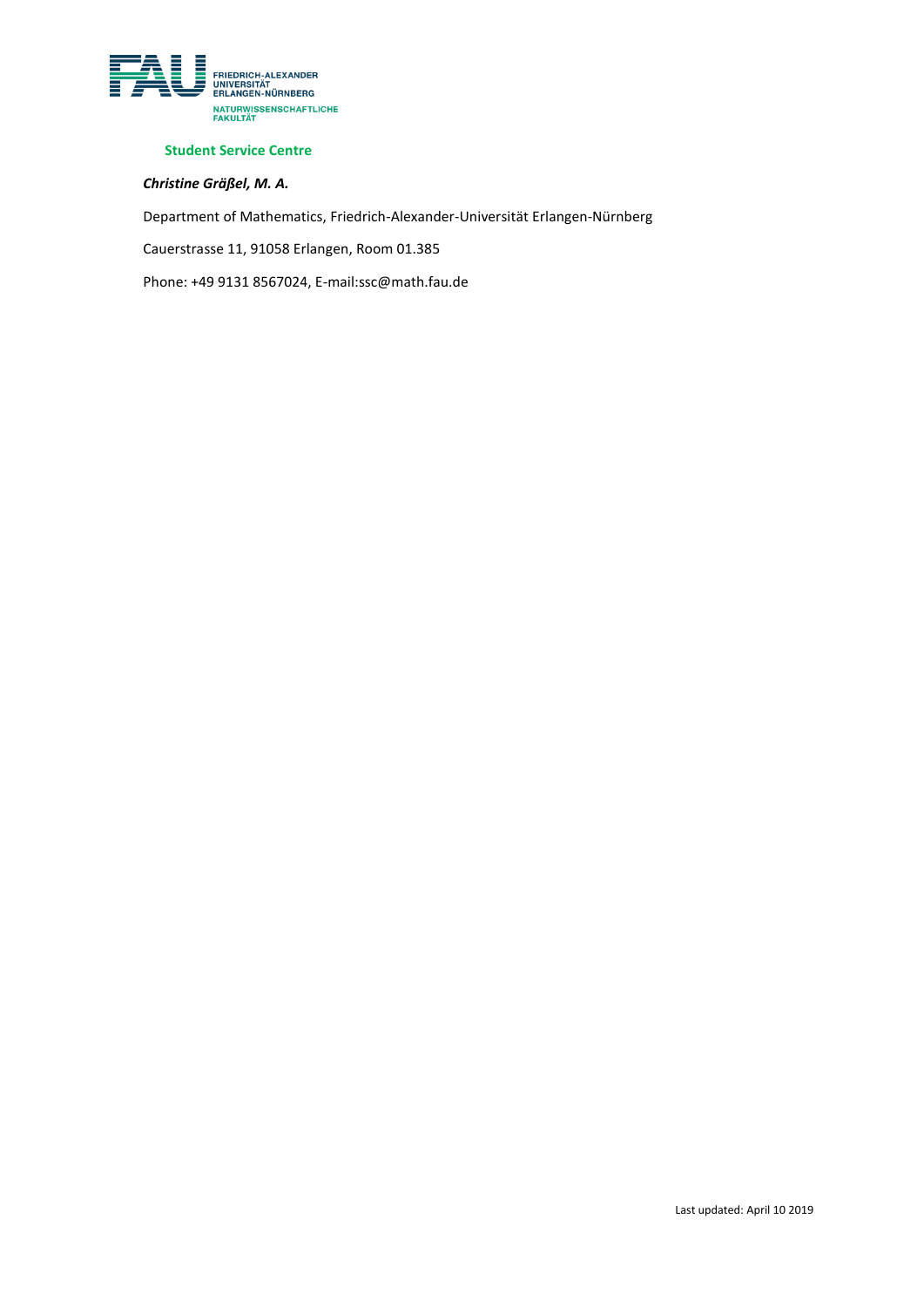

### **Student Service Centre**

## *Christine Gräßel, M. A.*

Department of Mathematics, Friedrich-Alexander-Universität Erlangen-Nürnberg

Cauerstrasse 11, 91058 Erlangen, Room 01.385

Phone: +49 9131 8567024, E-mail:ssc@math.fau.de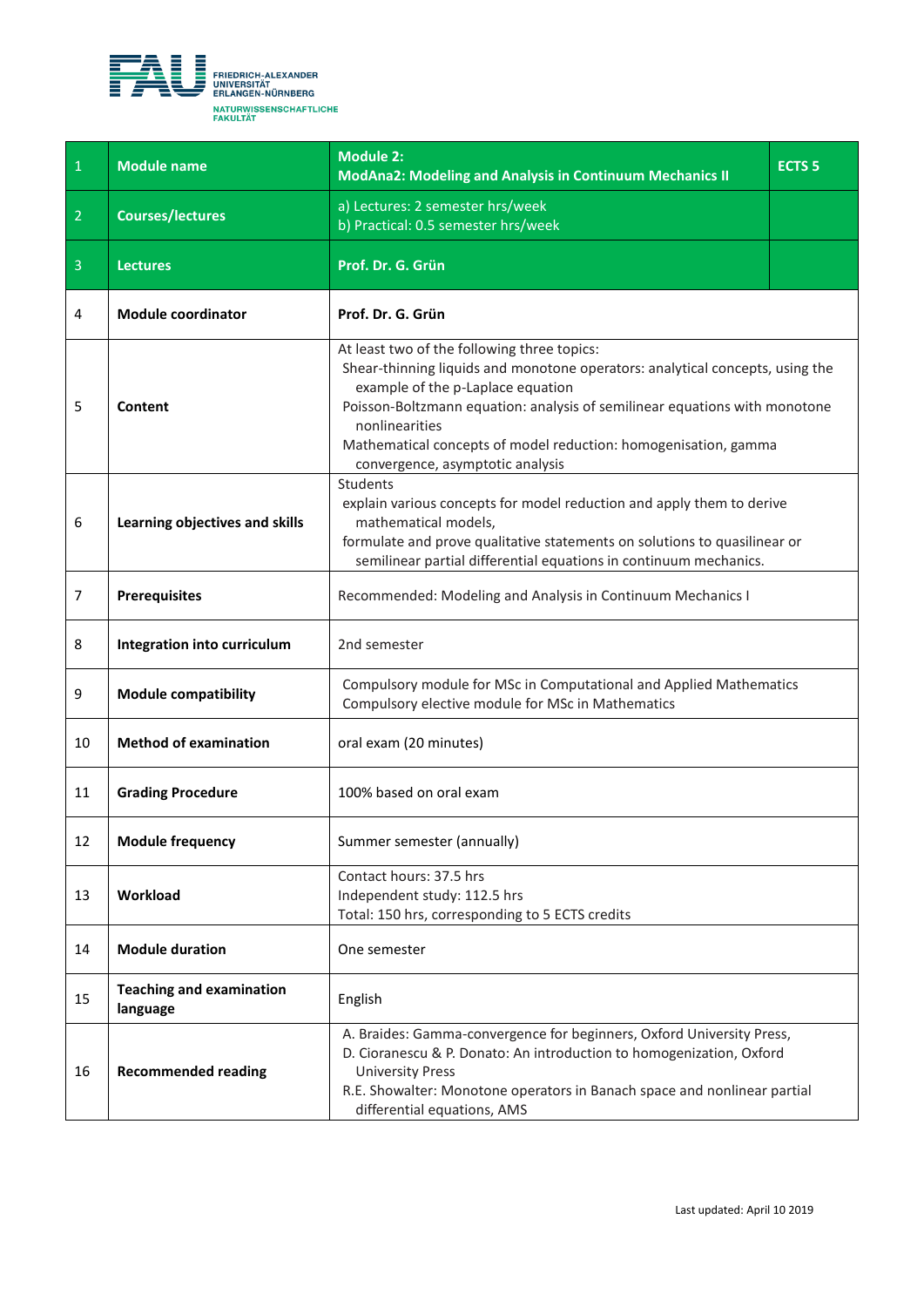<span id="page-4-0"></span>

| $\overline{1}$ | <b>Module name</b>                          | <b>Module 2:</b><br><b>ModAna2: Modeling and Analysis in Continuum Mechanics II</b>                                                                                                                                                                                                                                                                                      | <b>ECTS 5</b> |
|----------------|---------------------------------------------|--------------------------------------------------------------------------------------------------------------------------------------------------------------------------------------------------------------------------------------------------------------------------------------------------------------------------------------------------------------------------|---------------|
| $\overline{2}$ | <b>Courses/lectures</b>                     | a) Lectures: 2 semester hrs/week<br>b) Practical: 0.5 semester hrs/week                                                                                                                                                                                                                                                                                                  |               |
| $\overline{3}$ | <b>Lectures</b>                             | Prof. Dr. G. Grün                                                                                                                                                                                                                                                                                                                                                        |               |
| 4              | <b>Module coordinator</b>                   | Prof. Dr. G. Grün                                                                                                                                                                                                                                                                                                                                                        |               |
| 5              | Content                                     | At least two of the following three topics:<br>Shear-thinning liquids and monotone operators: analytical concepts, using the<br>example of the p-Laplace equation<br>Poisson-Boltzmann equation: analysis of semilinear equations with monotone<br>nonlinearities<br>Mathematical concepts of model reduction: homogenisation, gamma<br>convergence, asymptotic analysis |               |
| 6              | Learning objectives and skills              | Students<br>explain various concepts for model reduction and apply them to derive<br>mathematical models,<br>formulate and prove qualitative statements on solutions to quasilinear or<br>semilinear partial differential equations in continuum mechanics.                                                                                                              |               |
| $\overline{7}$ | <b>Prerequisites</b>                        | Recommended: Modeling and Analysis in Continuum Mechanics I                                                                                                                                                                                                                                                                                                              |               |
| 8              | Integration into curriculum                 | 2nd semester                                                                                                                                                                                                                                                                                                                                                             |               |
| 9              | <b>Module compatibility</b>                 | Compulsory module for MSc in Computational and Applied Mathematics<br>Compulsory elective module for MSc in Mathematics                                                                                                                                                                                                                                                  |               |
| 10             | <b>Method of examination</b>                | oral exam (20 minutes)                                                                                                                                                                                                                                                                                                                                                   |               |
| 11             | <b>Grading Procedure</b>                    | 100% based on oral exam                                                                                                                                                                                                                                                                                                                                                  |               |
| 12             | <b>Module frequency</b>                     | Summer semester (annually)                                                                                                                                                                                                                                                                                                                                               |               |
| 13             | Workload                                    | Contact hours: 37.5 hrs<br>Independent study: 112.5 hrs<br>Total: 150 hrs, corresponding to 5 ECTS credits                                                                                                                                                                                                                                                               |               |
| 14             | <b>Module duration</b>                      | One semester                                                                                                                                                                                                                                                                                                                                                             |               |
| 15             | <b>Teaching and examination</b><br>language | English                                                                                                                                                                                                                                                                                                                                                                  |               |
| 16             | <b>Recommended reading</b>                  | A. Braides: Gamma-convergence for beginners, Oxford University Press,<br>D. Cioranescu & P. Donato: An introduction to homogenization, Oxford<br><b>University Press</b><br>R.E. Showalter: Monotone operators in Banach space and nonlinear partial<br>differential equations, AMS                                                                                      |               |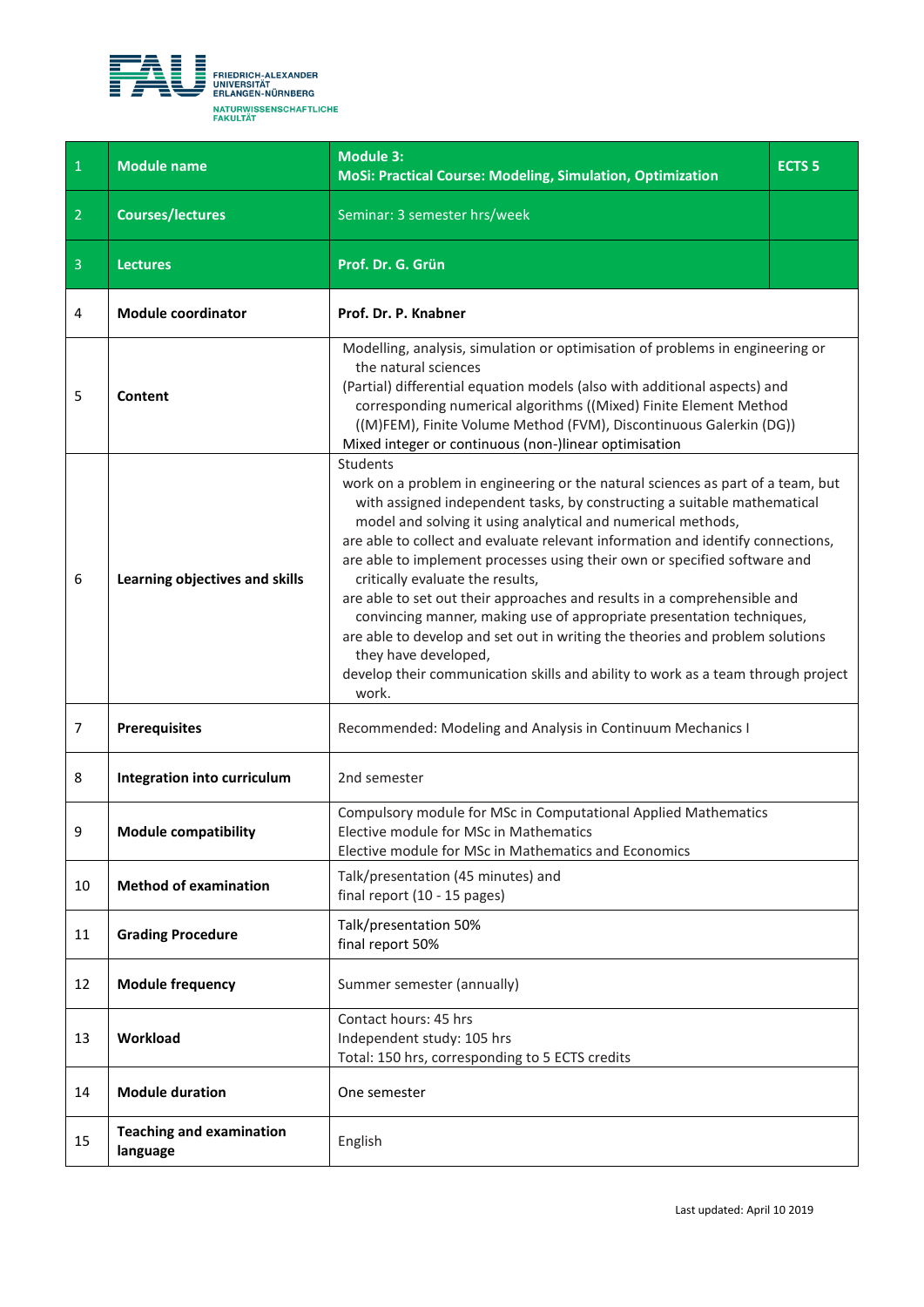<span id="page-5-0"></span>

| $\,1\,$        | <b>Module name</b>                          | <b>Module 3:</b><br>MoSi: Practical Course: Modeling, Simulation, Optimization                                                                                                                                                                                                                                                                                                                                                                                                                                                                                                                                                                                                                                                                                                                                | <b>ECTS<sub>5</sub></b> |
|----------------|---------------------------------------------|---------------------------------------------------------------------------------------------------------------------------------------------------------------------------------------------------------------------------------------------------------------------------------------------------------------------------------------------------------------------------------------------------------------------------------------------------------------------------------------------------------------------------------------------------------------------------------------------------------------------------------------------------------------------------------------------------------------------------------------------------------------------------------------------------------------|-------------------------|
| $\overline{2}$ | <b>Courses/lectures</b>                     | Seminar: 3 semester hrs/week                                                                                                                                                                                                                                                                                                                                                                                                                                                                                                                                                                                                                                                                                                                                                                                  |                         |
| $\overline{3}$ | <b>Lectures</b>                             | Prof. Dr. G. Grün                                                                                                                                                                                                                                                                                                                                                                                                                                                                                                                                                                                                                                                                                                                                                                                             |                         |
| 4              | <b>Module coordinator</b>                   | Prof. Dr. P. Knabner                                                                                                                                                                                                                                                                                                                                                                                                                                                                                                                                                                                                                                                                                                                                                                                          |                         |
| 5              | Content                                     | Modelling, analysis, simulation or optimisation of problems in engineering or<br>the natural sciences<br>(Partial) differential equation models (also with additional aspects) and<br>corresponding numerical algorithms ((Mixed) Finite Element Method<br>((M)FEM), Finite Volume Method (FVM), Discontinuous Galerkin (DG))<br>Mixed integer or continuous (non-)linear optimisation                                                                                                                                                                                                                                                                                                                                                                                                                        |                         |
| 6              | Learning objectives and skills              | <b>Students</b><br>work on a problem in engineering or the natural sciences as part of a team, but<br>with assigned independent tasks, by constructing a suitable mathematical<br>model and solving it using analytical and numerical methods,<br>are able to collect and evaluate relevant information and identify connections,<br>are able to implement processes using their own or specified software and<br>critically evaluate the results,<br>are able to set out their approaches and results in a comprehensible and<br>convincing manner, making use of appropriate presentation techniques,<br>are able to develop and set out in writing the theories and problem solutions<br>they have developed,<br>develop their communication skills and ability to work as a team through project<br>work. |                         |
| $\overline{7}$ | <b>Prerequisites</b>                        | Recommended: Modeling and Analysis in Continuum Mechanics I                                                                                                                                                                                                                                                                                                                                                                                                                                                                                                                                                                                                                                                                                                                                                   |                         |
| 8              | Integration into curriculum                 | 2nd semester                                                                                                                                                                                                                                                                                                                                                                                                                                                                                                                                                                                                                                                                                                                                                                                                  |                         |
| 9              | <b>Module compatibility</b>                 | Compulsory module for MSc in Computational Applied Mathematics<br>Elective module for MSc in Mathematics<br>Elective module for MSc in Mathematics and Economics                                                                                                                                                                                                                                                                                                                                                                                                                                                                                                                                                                                                                                              |                         |
| 10             | <b>Method of examination</b>                | Talk/presentation (45 minutes) and<br>final report (10 - 15 pages)                                                                                                                                                                                                                                                                                                                                                                                                                                                                                                                                                                                                                                                                                                                                            |                         |
| 11             | <b>Grading Procedure</b>                    | Talk/presentation 50%<br>final report 50%                                                                                                                                                                                                                                                                                                                                                                                                                                                                                                                                                                                                                                                                                                                                                                     |                         |
| 12             | <b>Module frequency</b>                     | Summer semester (annually)                                                                                                                                                                                                                                                                                                                                                                                                                                                                                                                                                                                                                                                                                                                                                                                    |                         |
| 13             | Workload                                    | Contact hours: 45 hrs<br>Independent study: 105 hrs<br>Total: 150 hrs, corresponding to 5 ECTS credits                                                                                                                                                                                                                                                                                                                                                                                                                                                                                                                                                                                                                                                                                                        |                         |
| 14             | <b>Module duration</b>                      | One semester                                                                                                                                                                                                                                                                                                                                                                                                                                                                                                                                                                                                                                                                                                                                                                                                  |                         |
| 15             | <b>Teaching and examination</b><br>language | English                                                                                                                                                                                                                                                                                                                                                                                                                                                                                                                                                                                                                                                                                                                                                                                                       |                         |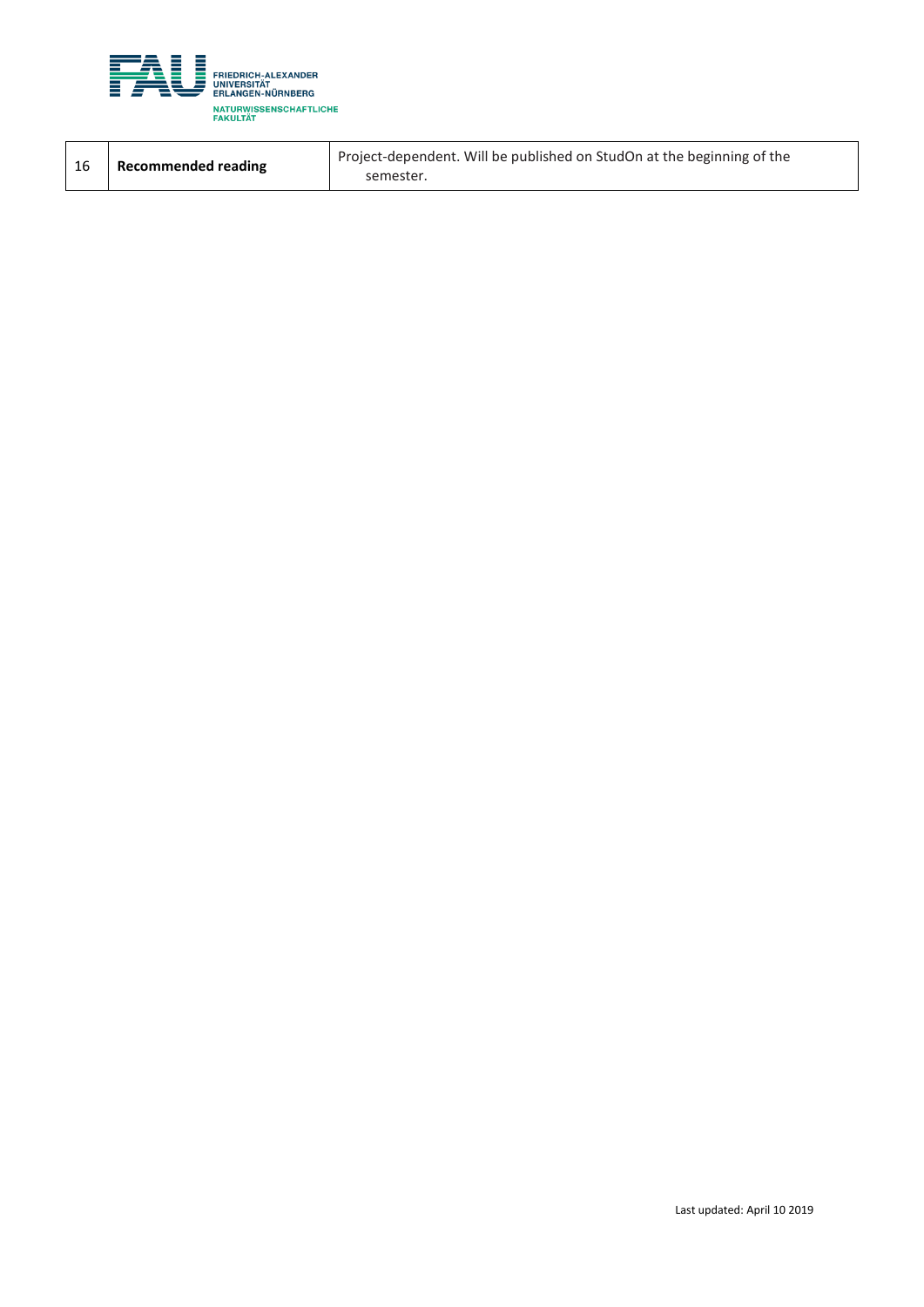

| - 16 | <b>Recommended reading</b> | Project-dependent. Will be published on StudOn at the beginning of the<br>semester. |
|------|----------------------------|-------------------------------------------------------------------------------------|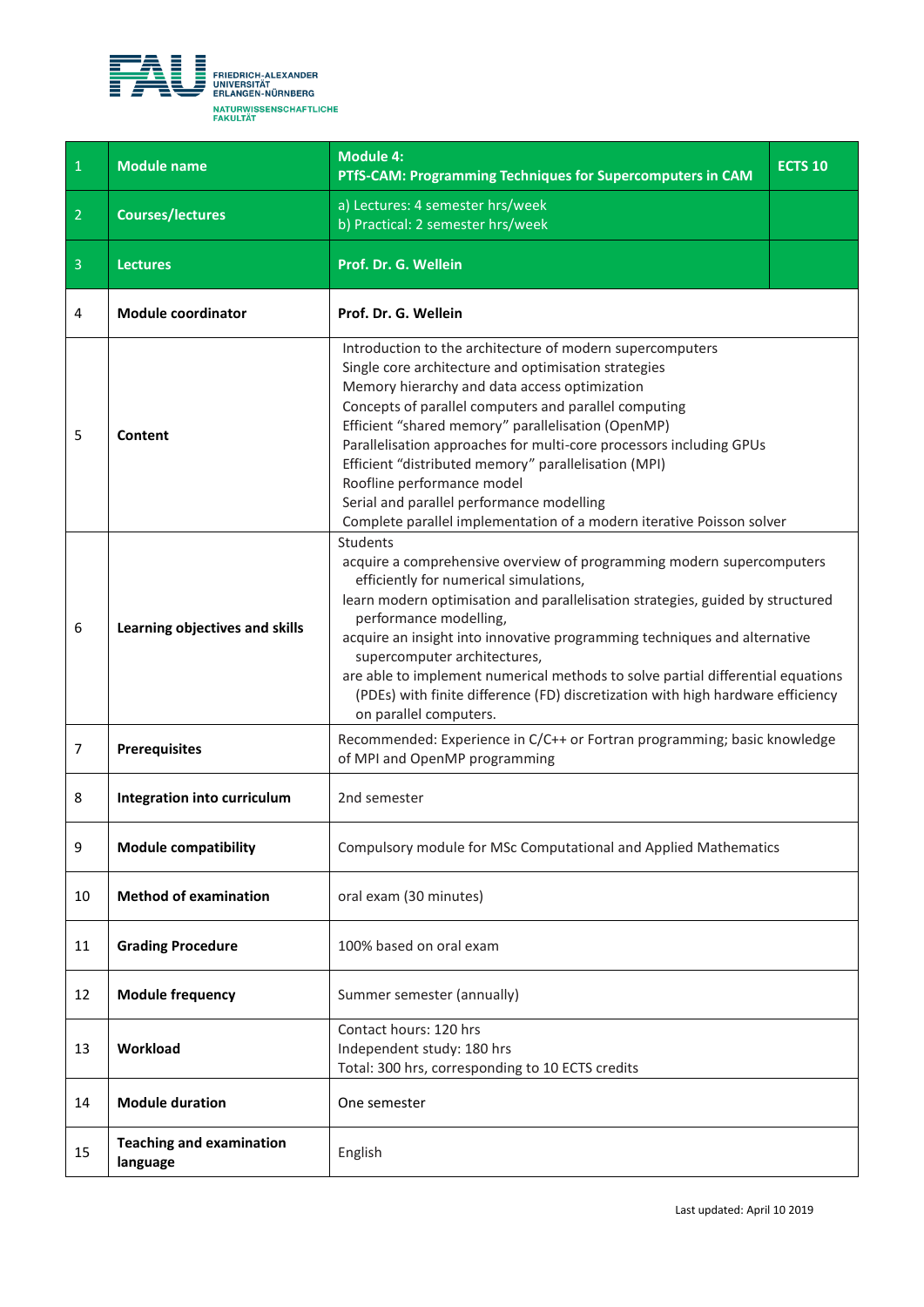<span id="page-7-0"></span>

| $\mathbf{1}$   | <b>Module name</b>                          | <b>Module 4:</b><br>PTfS-CAM: Programming Techniques for Supercomputers in CAM                                                                                                                                                                                                                                                                                                                                                                                                                                                                                       | <b>ECTS 10</b> |
|----------------|---------------------------------------------|----------------------------------------------------------------------------------------------------------------------------------------------------------------------------------------------------------------------------------------------------------------------------------------------------------------------------------------------------------------------------------------------------------------------------------------------------------------------------------------------------------------------------------------------------------------------|----------------|
| $\overline{2}$ | <b>Courses/lectures</b>                     | a) Lectures: 4 semester hrs/week<br>b) Practical: 2 semester hrs/week                                                                                                                                                                                                                                                                                                                                                                                                                                                                                                |                |
| 3              | <b>Lectures</b>                             | Prof. Dr. G. Wellein                                                                                                                                                                                                                                                                                                                                                                                                                                                                                                                                                 |                |
| 4              | <b>Module coordinator</b>                   | Prof. Dr. G. Wellein                                                                                                                                                                                                                                                                                                                                                                                                                                                                                                                                                 |                |
| 5              | Content                                     | Introduction to the architecture of modern supercomputers<br>Single core architecture and optimisation strategies<br>Memory hierarchy and data access optimization<br>Concepts of parallel computers and parallel computing<br>Efficient "shared memory" parallelisation (OpenMP)<br>Parallelisation approaches for multi-core processors including GPUs<br>Efficient "distributed memory" parallelisation (MPI)<br>Roofline performance model<br>Serial and parallel performance modelling<br>Complete parallel implementation of a modern iterative Poisson solver |                |
| 6              | Learning objectives and skills              | <b>Students</b><br>acquire a comprehensive overview of programming modern supercomputers<br>efficiently for numerical simulations,<br>learn modern optimisation and parallelisation strategies, guided by structured<br>performance modelling,<br>acquire an insight into innovative programming techniques and alternative<br>supercomputer architectures,<br>are able to implement numerical methods to solve partial differential equations<br>(PDEs) with finite difference (FD) discretization with high hardware efficiency<br>on parallel computers.          |                |
| $\overline{7}$ | <b>Prerequisites</b>                        | Recommended: Experience in C/C++ or Fortran programming; basic knowledge<br>of MPI and OpenMP programming                                                                                                                                                                                                                                                                                                                                                                                                                                                            |                |
| 8              | Integration into curriculum                 | 2nd semester                                                                                                                                                                                                                                                                                                                                                                                                                                                                                                                                                         |                |
| 9              | <b>Module compatibility</b>                 | Compulsory module for MSc Computational and Applied Mathematics                                                                                                                                                                                                                                                                                                                                                                                                                                                                                                      |                |
| 10             | <b>Method of examination</b>                | oral exam (30 minutes)                                                                                                                                                                                                                                                                                                                                                                                                                                                                                                                                               |                |
| 11             | <b>Grading Procedure</b>                    | 100% based on oral exam                                                                                                                                                                                                                                                                                                                                                                                                                                                                                                                                              |                |
| 12             | <b>Module frequency</b>                     | Summer semester (annually)                                                                                                                                                                                                                                                                                                                                                                                                                                                                                                                                           |                |
| 13             | Workload                                    | Contact hours: 120 hrs<br>Independent study: 180 hrs<br>Total: 300 hrs, corresponding to 10 ECTS credits                                                                                                                                                                                                                                                                                                                                                                                                                                                             |                |
| 14             | <b>Module duration</b>                      | One semester                                                                                                                                                                                                                                                                                                                                                                                                                                                                                                                                                         |                |
| 15             | <b>Teaching and examination</b><br>language | English                                                                                                                                                                                                                                                                                                                                                                                                                                                                                                                                                              |                |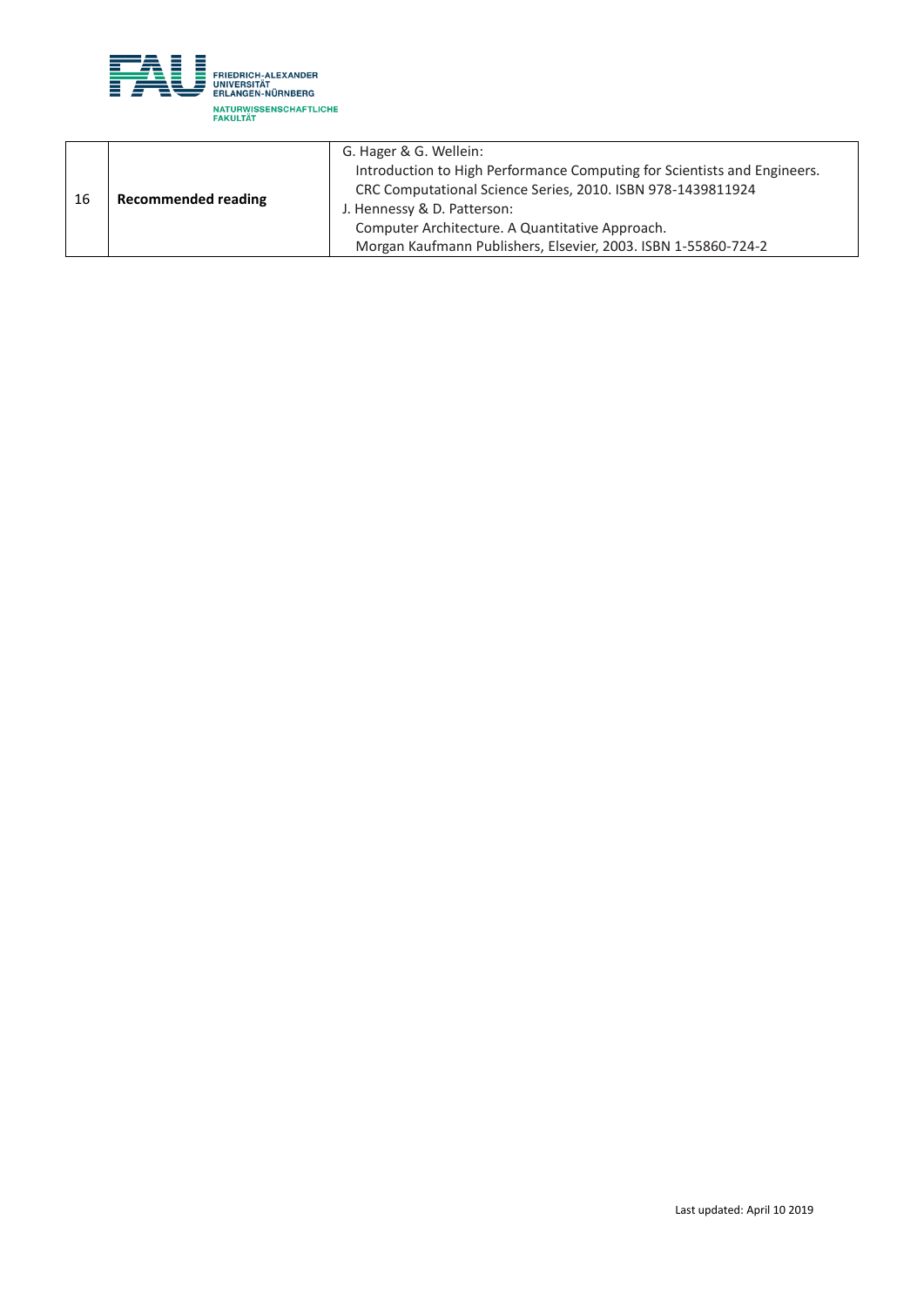

| - 16 | <b>Recommended reading</b> | G. Hager & G. Wellein:                                                                                                                  |
|------|----------------------------|-----------------------------------------------------------------------------------------------------------------------------------------|
|      |                            | Introduction to High Performance Computing for Scientists and Engineers.<br>CRC Computational Science Series, 2010. ISBN 978-1439811924 |
|      |                            | J. Hennessy & D. Patterson:                                                                                                             |
|      |                            | Computer Architecture. A Quantitative Approach.                                                                                         |
|      |                            | Morgan Kaufmann Publishers, Elsevier, 2003. ISBN 1-55860-724-2                                                                          |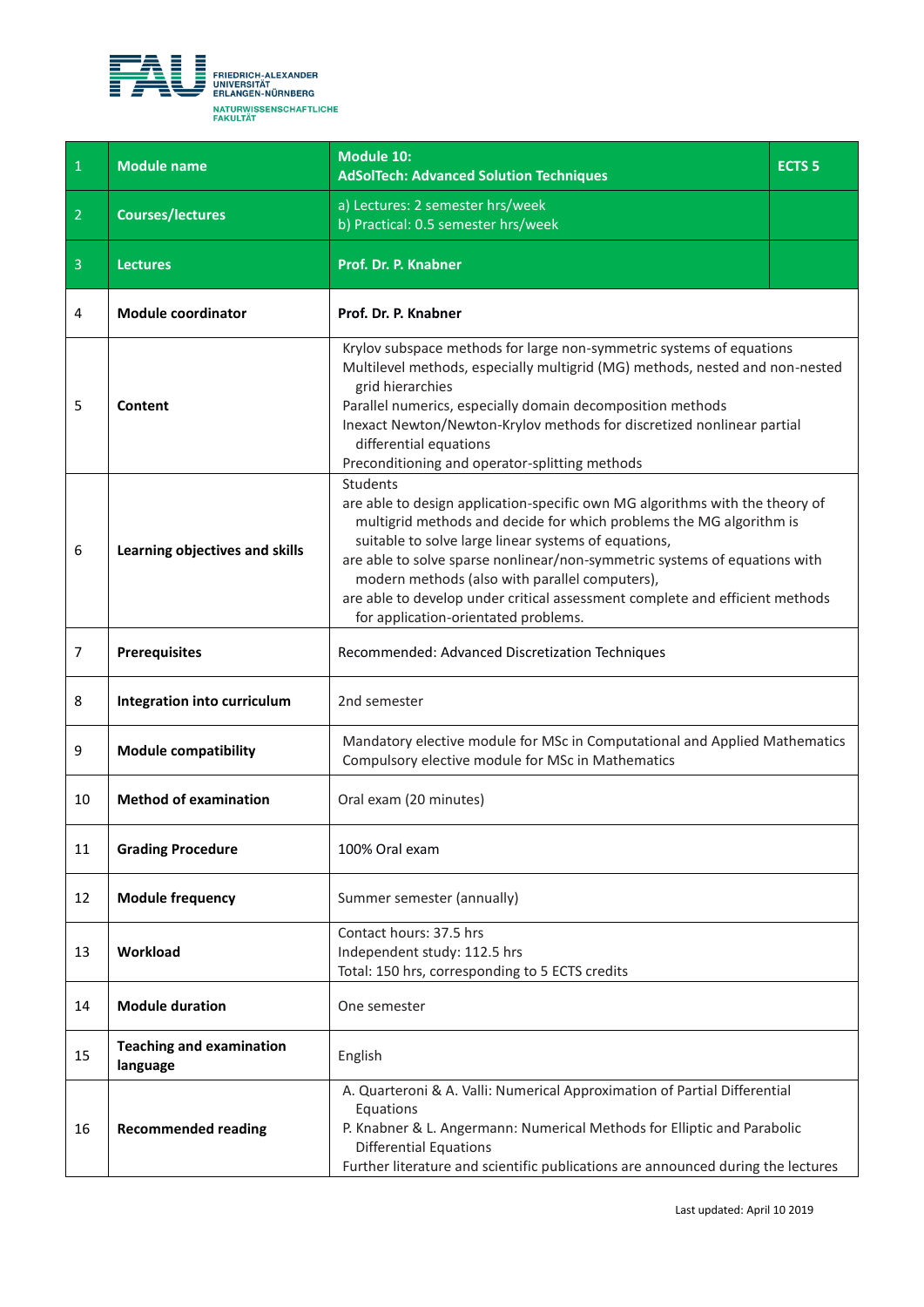<span id="page-9-0"></span>

| $\overline{1}$ | <b>Module name</b>                          | <b>Module 10:</b><br><b>AdSolTech: Advanced Solution Techniques</b>                                                                                                                                                                                                                                                                                                                                                                                                             | <b>ECTS<sub>5</sub></b> |
|----------------|---------------------------------------------|---------------------------------------------------------------------------------------------------------------------------------------------------------------------------------------------------------------------------------------------------------------------------------------------------------------------------------------------------------------------------------------------------------------------------------------------------------------------------------|-------------------------|
| $\overline{2}$ | <b>Courses/lectures</b>                     | a) Lectures: 2 semester hrs/week<br>b) Practical: 0.5 semester hrs/week                                                                                                                                                                                                                                                                                                                                                                                                         |                         |
| $\overline{3}$ | <b>Lectures</b>                             | Prof. Dr. P. Knabner                                                                                                                                                                                                                                                                                                                                                                                                                                                            |                         |
| 4              | <b>Module coordinator</b>                   | Prof. Dr. P. Knabner                                                                                                                                                                                                                                                                                                                                                                                                                                                            |                         |
| 5              | Content                                     | Krylov subspace methods for large non-symmetric systems of equations<br>Multilevel methods, especially multigrid (MG) methods, nested and non-nested<br>grid hierarchies<br>Parallel numerics, especially domain decomposition methods<br>Inexact Newton/Newton-Krylov methods for discretized nonlinear partial<br>differential equations<br>Preconditioning and operator-splitting methods                                                                                    |                         |
| 6              | Learning objectives and skills              | Students<br>are able to design application-specific own MG algorithms with the theory of<br>multigrid methods and decide for which problems the MG algorithm is<br>suitable to solve large linear systems of equations,<br>are able to solve sparse nonlinear/non-symmetric systems of equations with<br>modern methods (also with parallel computers),<br>are able to develop under critical assessment complete and efficient methods<br>for application-orientated problems. |                         |
| 7              | <b>Prerequisites</b>                        | Recommended: Advanced Discretization Techniques                                                                                                                                                                                                                                                                                                                                                                                                                                 |                         |
| 8              | Integration into curriculum                 | 2nd semester                                                                                                                                                                                                                                                                                                                                                                                                                                                                    |                         |
| 9              | <b>Module compatibility</b>                 | Mandatory elective module for MSc in Computational and Applied Mathematics<br>Compulsory elective module for MSc in Mathematics                                                                                                                                                                                                                                                                                                                                                 |                         |
| 10             | <b>Method of examination</b>                | Oral exam (20 minutes)                                                                                                                                                                                                                                                                                                                                                                                                                                                          |                         |
| 11             | <b>Grading Procedure</b>                    | 100% Oral exam                                                                                                                                                                                                                                                                                                                                                                                                                                                                  |                         |
| 12             | <b>Module frequency</b>                     | Summer semester (annually)                                                                                                                                                                                                                                                                                                                                                                                                                                                      |                         |
| 13             | Workload                                    | Contact hours: 37.5 hrs<br>Independent study: 112.5 hrs<br>Total: 150 hrs, corresponding to 5 ECTS credits                                                                                                                                                                                                                                                                                                                                                                      |                         |
| 14             | <b>Module duration</b>                      | One semester                                                                                                                                                                                                                                                                                                                                                                                                                                                                    |                         |
| 15             | <b>Teaching and examination</b><br>language | English                                                                                                                                                                                                                                                                                                                                                                                                                                                                         |                         |
| 16             | <b>Recommended reading</b>                  | A. Quarteroni & A. Valli: Numerical Approximation of Partial Differential<br>Equations<br>P. Knabner & L. Angermann: Numerical Methods for Elliptic and Parabolic<br><b>Differential Equations</b><br>Further literature and scientific publications are announced during the lectures                                                                                                                                                                                          |                         |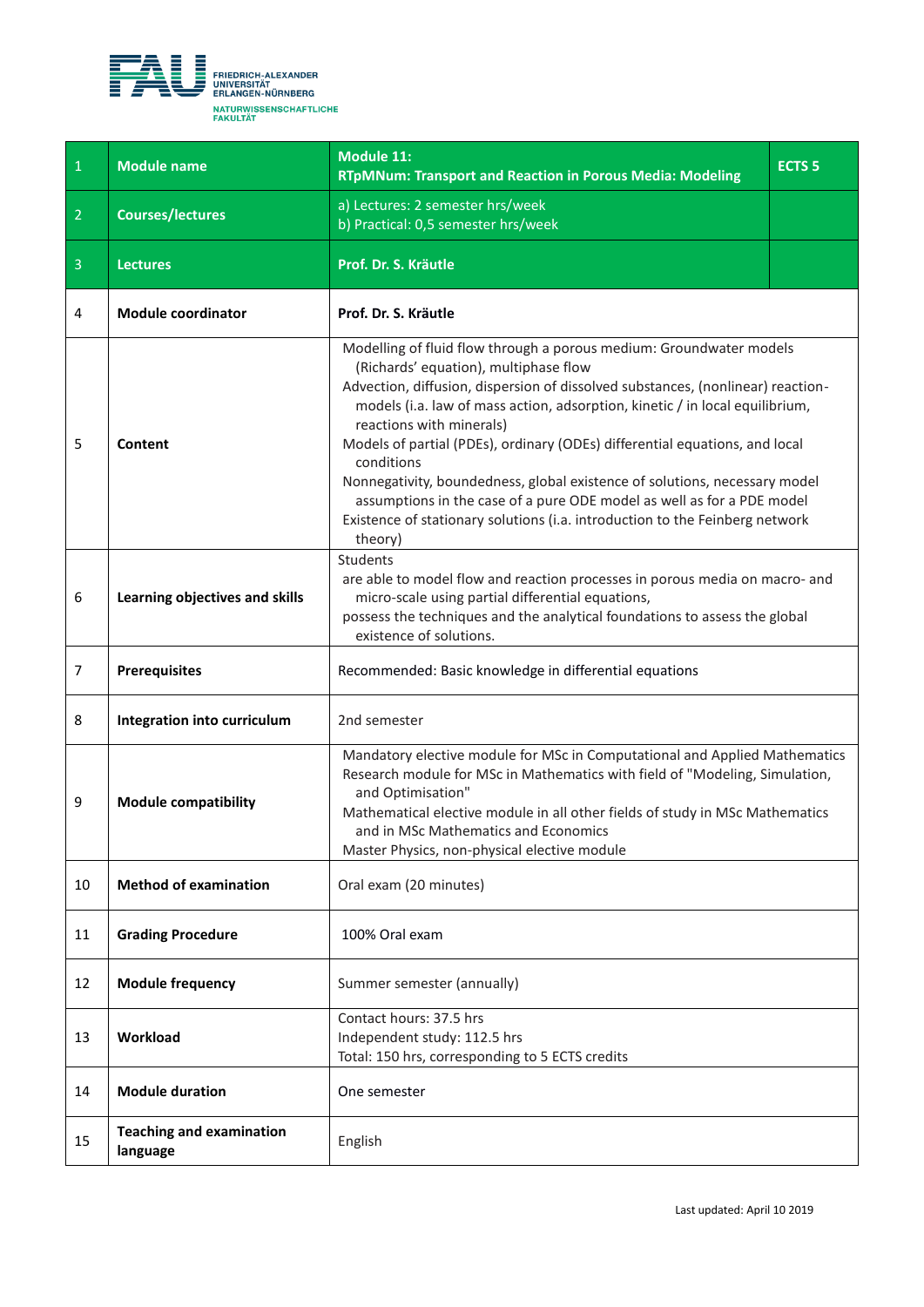<span id="page-10-0"></span>

| $\,1\,$        | <b>Module name</b>                          | <b>Module 11:</b><br><b>RTpMNum: Transport and Reaction in Porous Media: Modeling</b>                                                                                                                                                                                                                                                                                                                                                                                                                                                                                                                                                                       | <b>ECTS<sub>5</sub></b> |
|----------------|---------------------------------------------|-------------------------------------------------------------------------------------------------------------------------------------------------------------------------------------------------------------------------------------------------------------------------------------------------------------------------------------------------------------------------------------------------------------------------------------------------------------------------------------------------------------------------------------------------------------------------------------------------------------------------------------------------------------|-------------------------|
| $\overline{2}$ | <b>Courses/lectures</b>                     | a) Lectures: 2 semester hrs/week<br>b) Practical: 0,5 semester hrs/week                                                                                                                                                                                                                                                                                                                                                                                                                                                                                                                                                                                     |                         |
| $\overline{3}$ | <b>Lectures</b>                             | Prof. Dr. S. Kräutle                                                                                                                                                                                                                                                                                                                                                                                                                                                                                                                                                                                                                                        |                         |
| 4              | <b>Module coordinator</b>                   | Prof. Dr. S. Kräutle                                                                                                                                                                                                                                                                                                                                                                                                                                                                                                                                                                                                                                        |                         |
| 5              | Content                                     | Modelling of fluid flow through a porous medium: Groundwater models<br>(Richards' equation), multiphase flow<br>Advection, diffusion, dispersion of dissolved substances, (nonlinear) reaction-<br>models (i.a. law of mass action, adsorption, kinetic / in local equilibrium,<br>reactions with minerals)<br>Models of partial (PDEs), ordinary (ODEs) differential equations, and local<br>conditions<br>Nonnegativity, boundedness, global existence of solutions, necessary model<br>assumptions in the case of a pure ODE model as well as for a PDE model<br>Existence of stationary solutions (i.a. introduction to the Feinberg network<br>theory) |                         |
| 6              | Learning objectives and skills              | Students<br>are able to model flow and reaction processes in porous media on macro- and<br>micro-scale using partial differential equations,<br>possess the techniques and the analytical foundations to assess the global<br>existence of solutions.                                                                                                                                                                                                                                                                                                                                                                                                       |                         |
| 7              | <b>Prerequisites</b>                        | Recommended: Basic knowledge in differential equations                                                                                                                                                                                                                                                                                                                                                                                                                                                                                                                                                                                                      |                         |
| 8              | Integration into curriculum                 | 2nd semester                                                                                                                                                                                                                                                                                                                                                                                                                                                                                                                                                                                                                                                |                         |
| 9              | <b>Module compatibility</b>                 | Mandatory elective module for MSc in Computational and Applied Mathematics<br>Research module for MSc in Mathematics with field of "Modeling, Simulation,<br>and Optimisation"<br>Mathematical elective module in all other fields of study in MSc Mathematics<br>and in MSc Mathematics and Economics<br>Master Physics, non-physical elective module                                                                                                                                                                                                                                                                                                      |                         |
| 10             | <b>Method of examination</b>                | Oral exam (20 minutes)                                                                                                                                                                                                                                                                                                                                                                                                                                                                                                                                                                                                                                      |                         |
| 11             | <b>Grading Procedure</b>                    | 100% Oral exam                                                                                                                                                                                                                                                                                                                                                                                                                                                                                                                                                                                                                                              |                         |
| 12             | <b>Module frequency</b>                     | Summer semester (annually)                                                                                                                                                                                                                                                                                                                                                                                                                                                                                                                                                                                                                                  |                         |
| 13             | Workload                                    | Contact hours: 37.5 hrs<br>Independent study: 112.5 hrs<br>Total: 150 hrs, corresponding to 5 ECTS credits                                                                                                                                                                                                                                                                                                                                                                                                                                                                                                                                                  |                         |
| 14             | <b>Module duration</b>                      | One semester                                                                                                                                                                                                                                                                                                                                                                                                                                                                                                                                                                                                                                                |                         |
| 15             | <b>Teaching and examination</b><br>language | English                                                                                                                                                                                                                                                                                                                                                                                                                                                                                                                                                                                                                                                     |                         |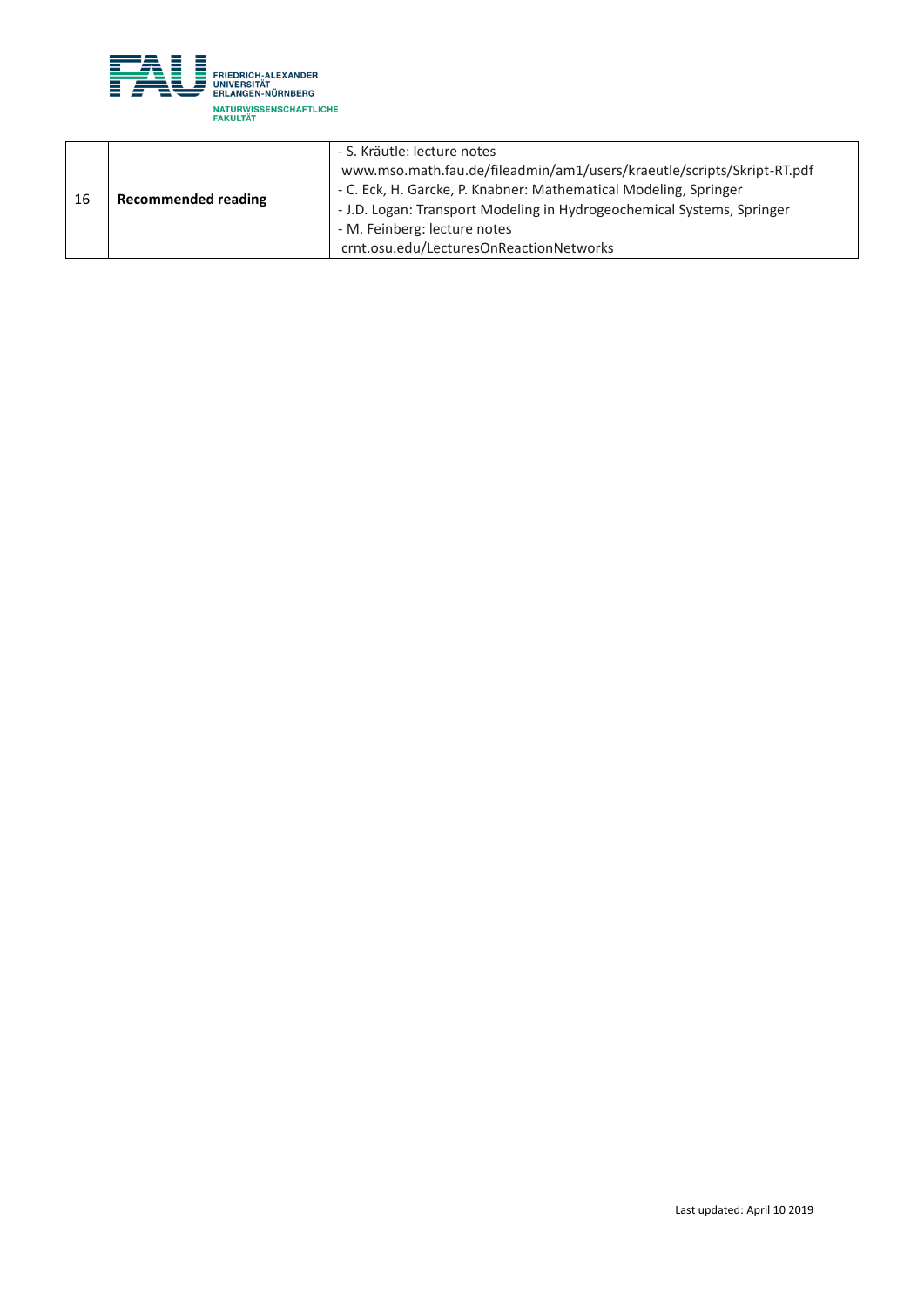

| 16 | <b>Recommended reading</b> | - S. Kräutle: lecture notes                                            |
|----|----------------------------|------------------------------------------------------------------------|
|    |                            | www.mso.math.fau.de/fileadmin/am1/users/kraeutle/scripts/Skript-RT.pdf |
|    |                            | - C. Eck, H. Garcke, P. Knabner: Mathematical Modeling, Springer       |
|    |                            | - J.D. Logan: Transport Modeling in Hydrogeochemical Systems, Springer |
|    |                            | - M. Feinberg: lecture notes                                           |
|    |                            | crnt.osu.edu/LecturesOnReactionNetworks                                |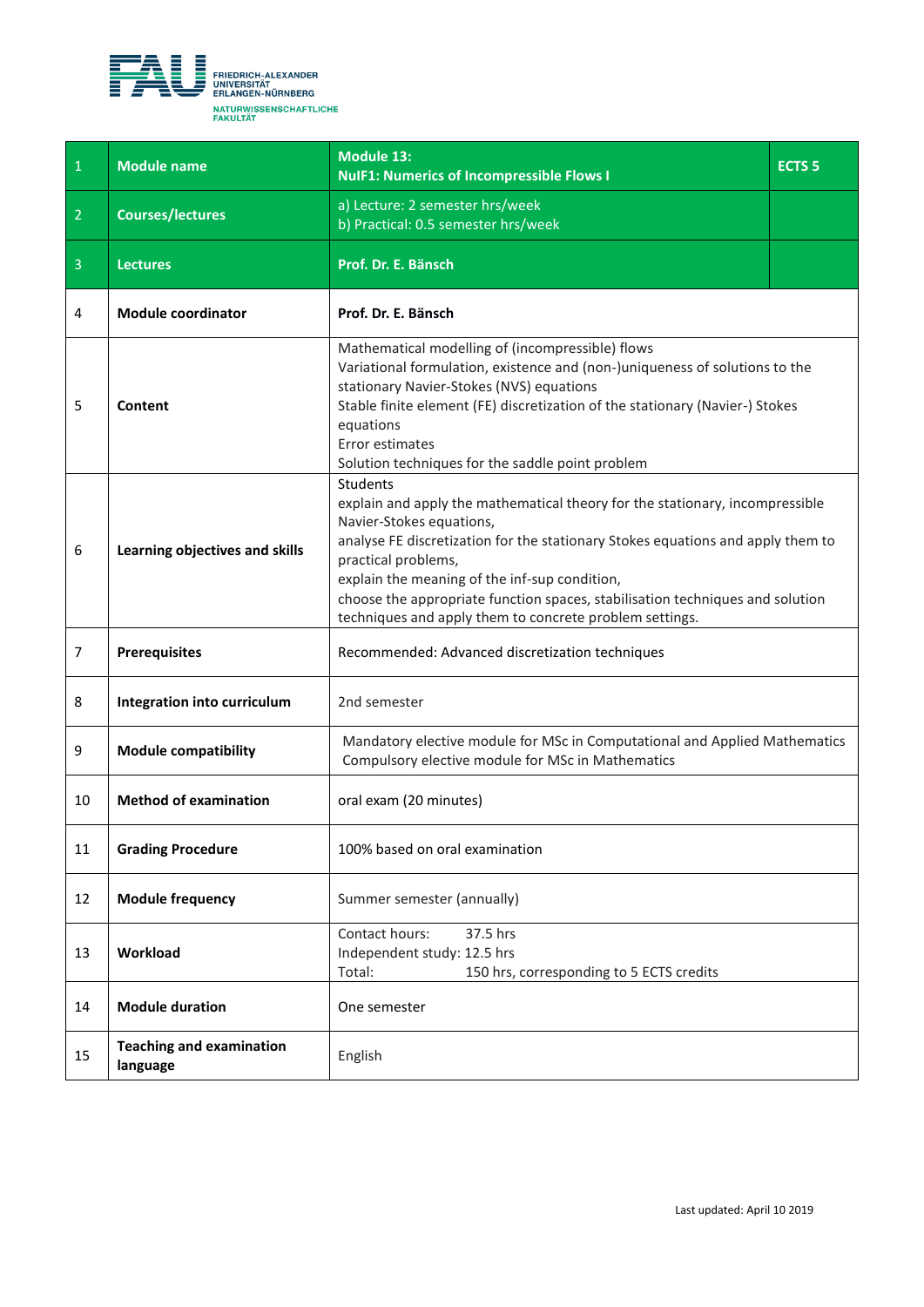<span id="page-12-0"></span>

| $\mathbf{1}$   | <b>Module name</b>                          | <b>Module 13:</b><br><b>NulF1: Numerics of Incompressible Flows I</b>                                                                                                                                                                                                                                                                                                                                                              | <b>ECTS<sub>5</sub></b> |
|----------------|---------------------------------------------|------------------------------------------------------------------------------------------------------------------------------------------------------------------------------------------------------------------------------------------------------------------------------------------------------------------------------------------------------------------------------------------------------------------------------------|-------------------------|
| $\overline{2}$ | <b>Courses/lectures</b>                     | a) Lecture: 2 semester hrs/week<br>b) Practical: 0.5 semester hrs/week                                                                                                                                                                                                                                                                                                                                                             |                         |
| $\overline{3}$ | <b>Lectures</b>                             | Prof. Dr. E. Bänsch                                                                                                                                                                                                                                                                                                                                                                                                                |                         |
| 4              | <b>Module coordinator</b>                   | Prof. Dr. E. Bänsch                                                                                                                                                                                                                                                                                                                                                                                                                |                         |
| 5              | Content                                     | Mathematical modelling of (incompressible) flows<br>Variational formulation, existence and (non-)uniqueness of solutions to the<br>stationary Navier-Stokes (NVS) equations<br>Stable finite element (FE) discretization of the stationary (Navier-) Stokes<br>equations<br>Error estimates<br>Solution techniques for the saddle point problem                                                                                    |                         |
| 6              | Learning objectives and skills              | <b>Students</b><br>explain and apply the mathematical theory for the stationary, incompressible<br>Navier-Stokes equations,<br>analyse FE discretization for the stationary Stokes equations and apply them to<br>practical problems,<br>explain the meaning of the inf-sup condition,<br>choose the appropriate function spaces, stabilisation techniques and solution<br>techniques and apply them to concrete problem settings. |                         |
| $\overline{7}$ | <b>Prerequisites</b>                        | Recommended: Advanced discretization techniques                                                                                                                                                                                                                                                                                                                                                                                    |                         |
| 8              | Integration into curriculum                 | 2nd semester                                                                                                                                                                                                                                                                                                                                                                                                                       |                         |
| 9              | <b>Module compatibility</b>                 | Mandatory elective module for MSc in Computational and Applied Mathematics<br>Compulsory elective module for MSc in Mathematics                                                                                                                                                                                                                                                                                                    |                         |
| 10             | <b>Method of examination</b>                | oral exam (20 minutes)                                                                                                                                                                                                                                                                                                                                                                                                             |                         |
| 11             | <b>Grading Procedure</b>                    | 100% based on oral examination                                                                                                                                                                                                                                                                                                                                                                                                     |                         |
| 12             | <b>Module frequency</b>                     | Summer semester (annually)                                                                                                                                                                                                                                                                                                                                                                                                         |                         |
| 13             | Workload                                    | Contact hours:<br>37.5 hrs<br>Independent study: 12.5 hrs<br>Total:<br>150 hrs, corresponding to 5 ECTS credits                                                                                                                                                                                                                                                                                                                    |                         |
| 14             | <b>Module duration</b>                      | One semester                                                                                                                                                                                                                                                                                                                                                                                                                       |                         |
| 15             | <b>Teaching and examination</b><br>language | English                                                                                                                                                                                                                                                                                                                                                                                                                            |                         |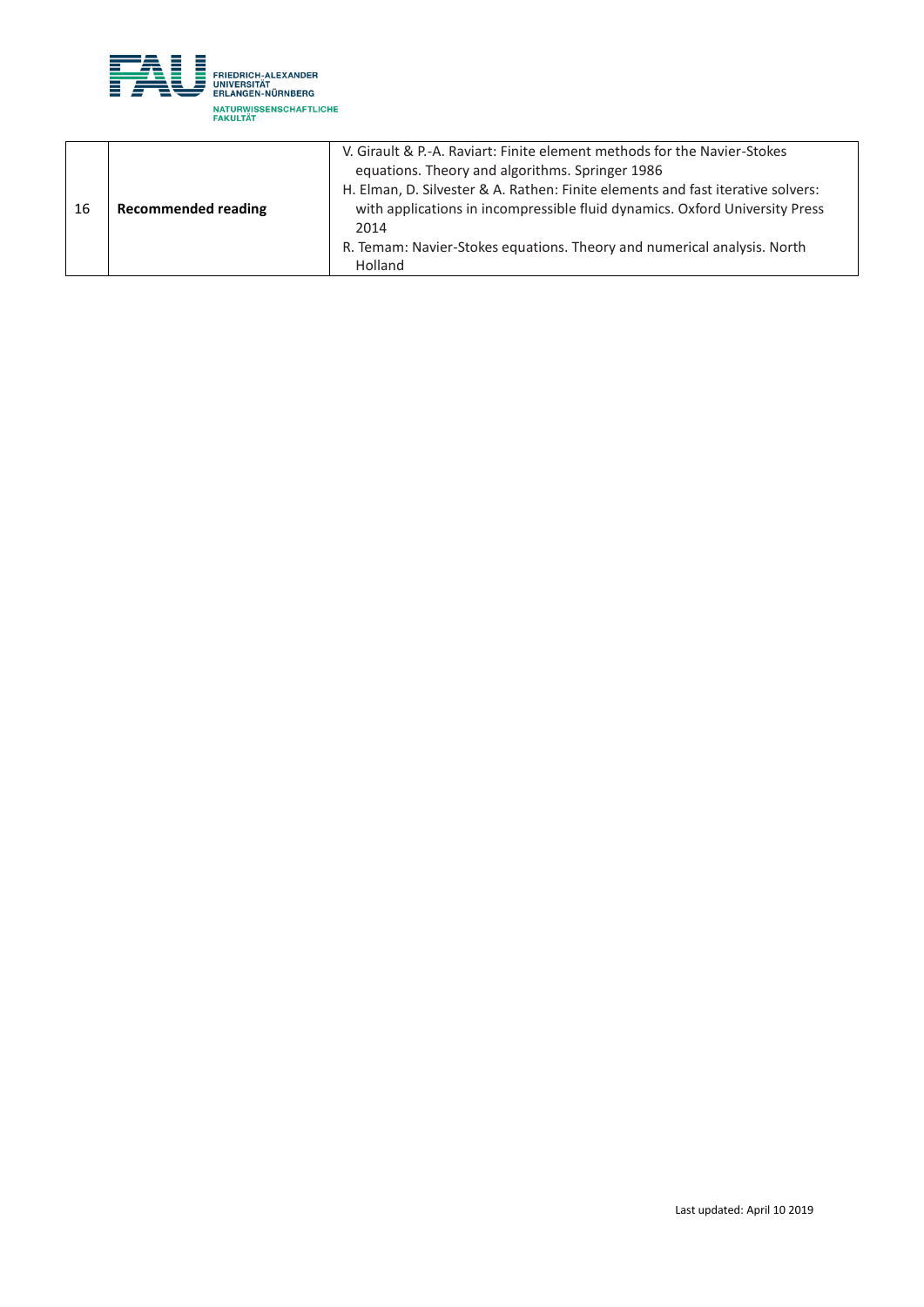

|    |                            | V. Girault & P.-A. Raviart: Finite element methods for the Navier-Stokes        |
|----|----------------------------|---------------------------------------------------------------------------------|
|    |                            | equations. Theory and algorithms. Springer 1986                                 |
|    |                            | H. Elman, D. Silvester & A. Rathen: Finite elements and fast iterative solvers: |
| 16 | <b>Recommended reading</b> | with applications in incompressible fluid dynamics. Oxford University Press     |
|    |                            | 2014                                                                            |
|    |                            | R. Temam: Navier-Stokes equations. Theory and numerical analysis. North         |
|    |                            | Holland                                                                         |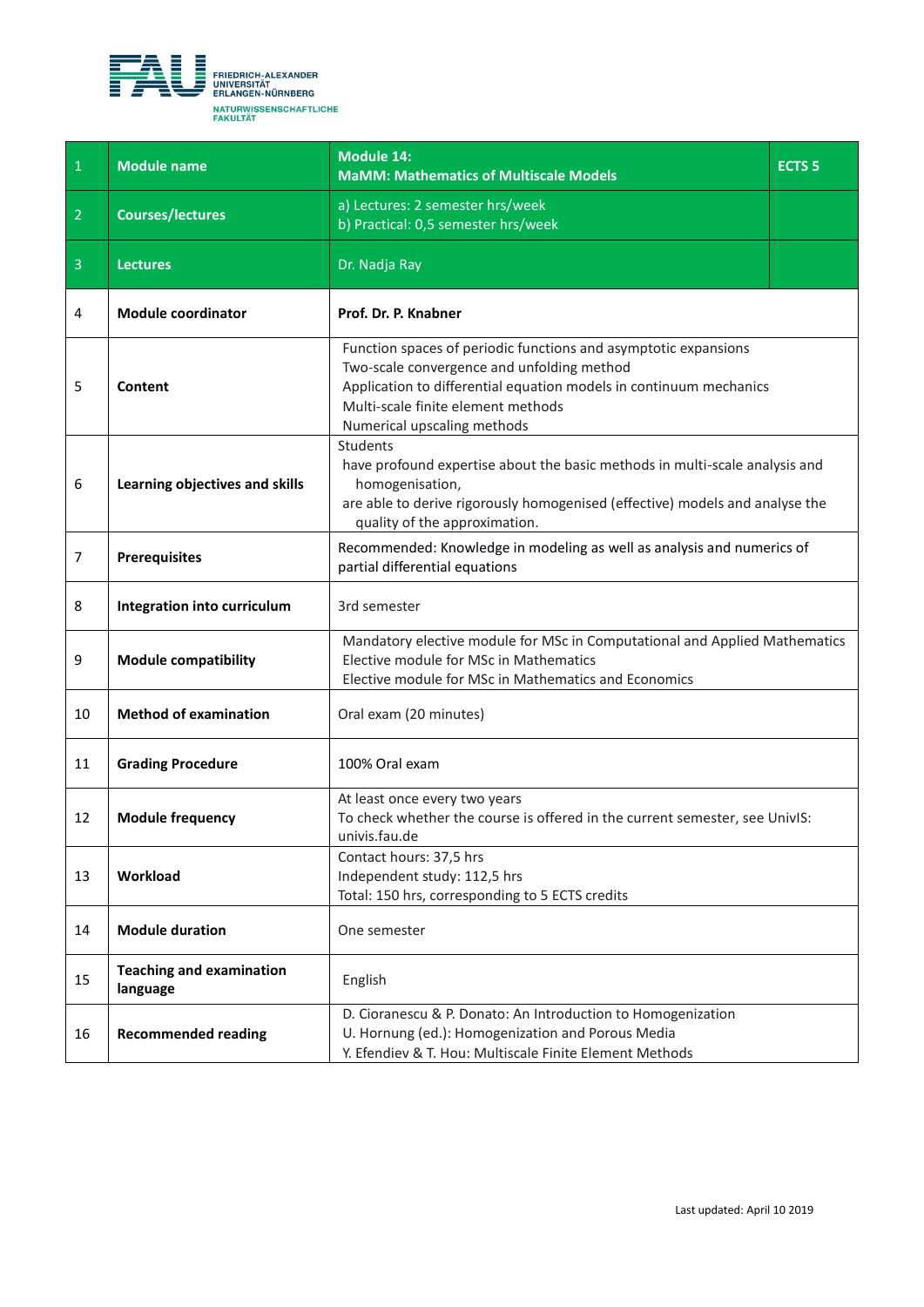<span id="page-14-0"></span>

| $\overline{1}$ | <b>Module name</b>                          | <b>Module 14:</b><br><b>MaMM: Mathematics of Multiscale Models</b>                                                                                                                                                                                       | <b>ECTS 5</b> |
|----------------|---------------------------------------------|----------------------------------------------------------------------------------------------------------------------------------------------------------------------------------------------------------------------------------------------------------|---------------|
| $\overline{2}$ | <b>Courses/lectures</b>                     | a) Lectures: 2 semester hrs/week<br>b) Practical: 0,5 semester hrs/week                                                                                                                                                                                  |               |
| $\overline{3}$ | <b>Lectures</b>                             | Dr. Nadja Ray                                                                                                                                                                                                                                            |               |
| 4              | <b>Module coordinator</b>                   | Prof. Dr. P. Knabner                                                                                                                                                                                                                                     |               |
| 5              | Content                                     | Function spaces of periodic functions and asymptotic expansions<br>Two-scale convergence and unfolding method<br>Application to differential equation models in continuum mechanics<br>Multi-scale finite element methods<br>Numerical upscaling methods |               |
| 6              | Learning objectives and skills              | Students<br>have profound expertise about the basic methods in multi-scale analysis and<br>homogenisation,<br>are able to derive rigorously homogenised (effective) models and analyse the<br>quality of the approximation.                              |               |
| 7              | <b>Prerequisites</b>                        | Recommended: Knowledge in modeling as well as analysis and numerics of<br>partial differential equations                                                                                                                                                 |               |
| 8              | Integration into curriculum                 | 3rd semester                                                                                                                                                                                                                                             |               |
| 9              | <b>Module compatibility</b>                 | Mandatory elective module for MSc in Computational and Applied Mathematics<br>Elective module for MSc in Mathematics<br>Elective module for MSc in Mathematics and Economics                                                                             |               |
| 10             | <b>Method of examination</b>                | Oral exam (20 minutes)                                                                                                                                                                                                                                   |               |
| 11             | <b>Grading Procedure</b>                    | 100% Oral exam                                                                                                                                                                                                                                           |               |
| 12             | <b>Module frequency</b>                     | At least once every two years<br>To check whether the course is offered in the current semester, see UnivIS:<br>univis.fau.de                                                                                                                            |               |
| 13             | Workload                                    | Contact hours: 37,5 hrs<br>Independent study: 112,5 hrs<br>Total: 150 hrs, corresponding to 5 ECTS credits                                                                                                                                               |               |
| 14             | <b>Module duration</b>                      | One semester                                                                                                                                                                                                                                             |               |
| 15             | <b>Teaching and examination</b><br>language | English                                                                                                                                                                                                                                                  |               |
| 16             | <b>Recommended reading</b>                  | D. Cioranescu & P. Donato: An Introduction to Homogenization<br>U. Hornung (ed.): Homogenization and Porous Media<br>Y. Efendiev & T. Hou: Multiscale Finite Element Methods                                                                             |               |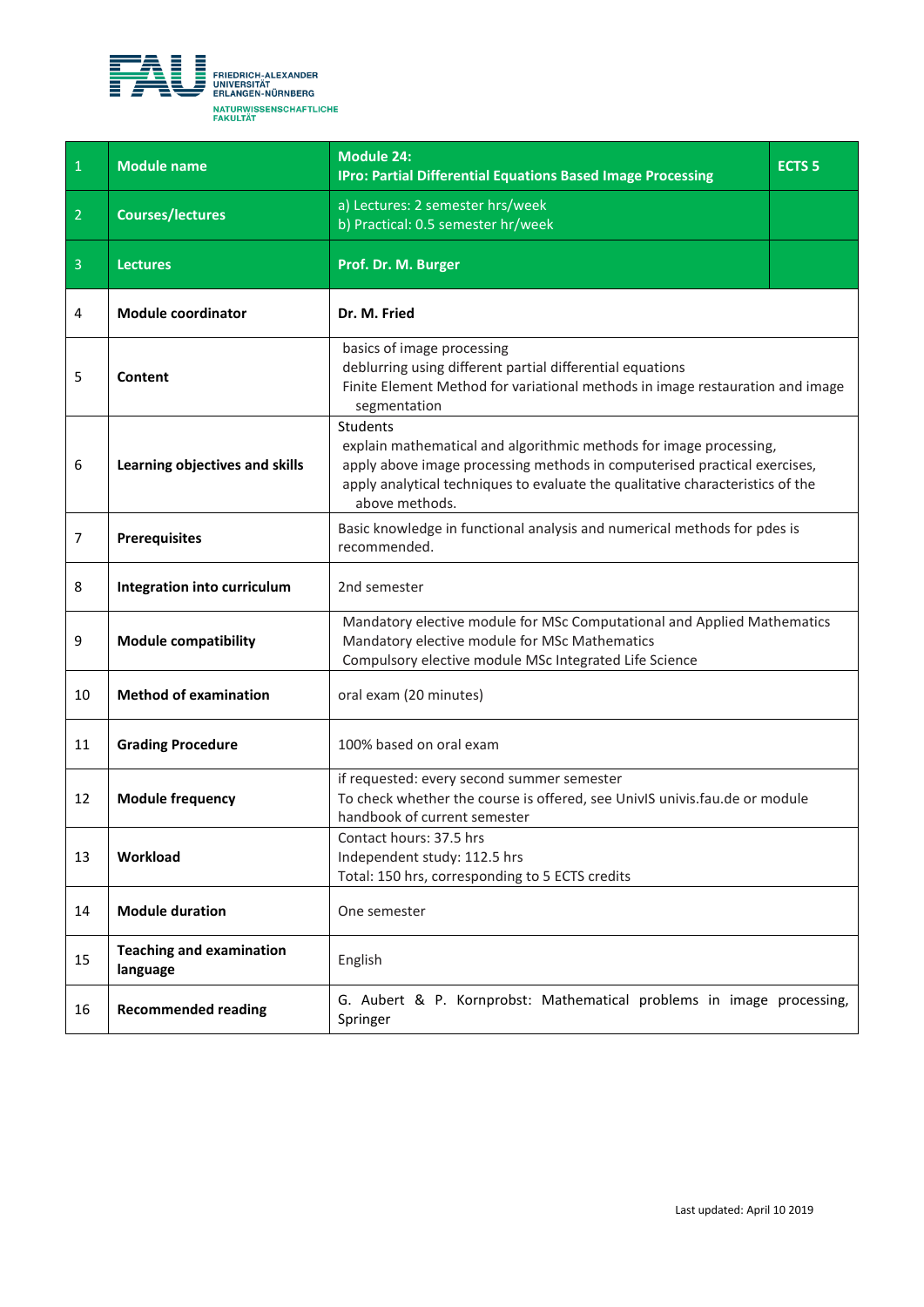<span id="page-15-0"></span>

| $\overline{1}$ | <b>Module name</b>                          | <b>Module 24:</b><br><b>IPro: Partial Differential Equations Based Image Processing</b>                                                                                                                                                                         | <b>ECTS 5</b> |
|----------------|---------------------------------------------|-----------------------------------------------------------------------------------------------------------------------------------------------------------------------------------------------------------------------------------------------------------------|---------------|
| $\overline{2}$ | <b>Courses/lectures</b>                     | a) Lectures: 2 semester hrs/week<br>b) Practical: 0.5 semester hr/week                                                                                                                                                                                          |               |
| $\overline{3}$ | <b>Lectures</b>                             | Prof. Dr. M. Burger                                                                                                                                                                                                                                             |               |
| 4              | <b>Module coordinator</b>                   | Dr. M. Fried                                                                                                                                                                                                                                                    |               |
| 5              | Content                                     | basics of image processing<br>deblurring using different partial differential equations<br>Finite Element Method for variational methods in image restauration and image<br>segmentation                                                                        |               |
| 6              | Learning objectives and skills              | Students<br>explain mathematical and algorithmic methods for image processing,<br>apply above image processing methods in computerised practical exercises,<br>apply analytical techniques to evaluate the qualitative characteristics of the<br>above methods. |               |
| 7              | <b>Prerequisites</b>                        | Basic knowledge in functional analysis and numerical methods for pdes is<br>recommended.                                                                                                                                                                        |               |
| 8              | Integration into curriculum                 | 2nd semester                                                                                                                                                                                                                                                    |               |
| 9              | <b>Module compatibility</b>                 | Mandatory elective module for MSc Computational and Applied Mathematics<br>Mandatory elective module for MSc Mathematics<br>Compulsory elective module MSc Integrated Life Science                                                                              |               |
| 10             | <b>Method of examination</b>                | oral exam (20 minutes)                                                                                                                                                                                                                                          |               |
| 11             | <b>Grading Procedure</b>                    | 100% based on oral exam                                                                                                                                                                                                                                         |               |
| 12             | <b>Module frequency</b>                     | if requested: every second summer semester<br>To check whether the course is offered, see UnivIS univis.fau.de or module<br>handbook of current semester                                                                                                        |               |
| 13             | Workload                                    | Contact hours: 37.5 hrs<br>Independent study: 112.5 hrs<br>Total: 150 hrs, corresponding to 5 ECTS credits                                                                                                                                                      |               |
| 14             | <b>Module duration</b>                      | One semester                                                                                                                                                                                                                                                    |               |
| 15             | <b>Teaching and examination</b><br>language | English                                                                                                                                                                                                                                                         |               |
| 16             | <b>Recommended reading</b>                  | G. Aubert & P. Kornprobst: Mathematical problems in image processing,<br>Springer                                                                                                                                                                               |               |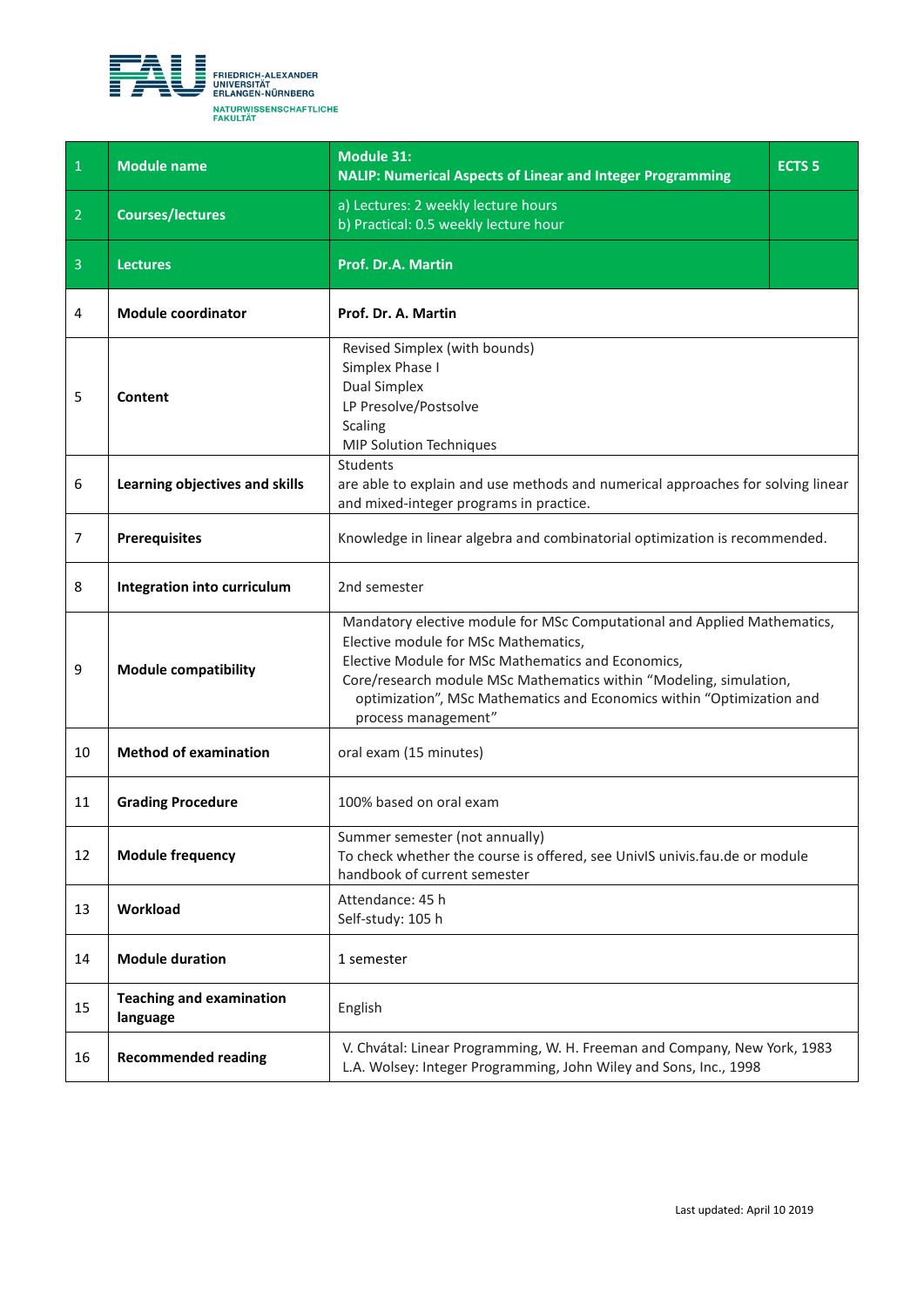<span id="page-16-0"></span>

| $\begin{array}{ c c } \hline \end{array}$ | <b>Module name</b>                          | <b>Module 31:</b><br><b>NALIP: Numerical Aspects of Linear and Integer Programming</b>                                                                                                                                                                                                                                                       | <b>ECTS 5</b> |
|-------------------------------------------|---------------------------------------------|----------------------------------------------------------------------------------------------------------------------------------------------------------------------------------------------------------------------------------------------------------------------------------------------------------------------------------------------|---------------|
| $\overline{2}$                            | <b>Courses/lectures</b>                     | a) Lectures: 2 weekly lecture hours<br>b) Practical: 0.5 weekly lecture hour                                                                                                                                                                                                                                                                 |               |
| $\overline{3}$                            | <b>Lectures</b>                             | Prof. Dr.A. Martin                                                                                                                                                                                                                                                                                                                           |               |
| 4                                         | <b>Module coordinator</b>                   | Prof. Dr. A. Martin                                                                                                                                                                                                                                                                                                                          |               |
| 5                                         | Content                                     | Revised Simplex (with bounds)<br>Simplex Phase I<br><b>Dual Simplex</b><br>LP Presolve/Postsolve<br>Scaling<br><b>MIP Solution Techniques</b>                                                                                                                                                                                                |               |
| 6                                         | Learning objectives and skills              | Students<br>are able to explain and use methods and numerical approaches for solving linear<br>and mixed-integer programs in practice.                                                                                                                                                                                                       |               |
| 7                                         | <b>Prerequisites</b>                        | Knowledge in linear algebra and combinatorial optimization is recommended.                                                                                                                                                                                                                                                                   |               |
| 8                                         | Integration into curriculum                 | 2nd semester                                                                                                                                                                                                                                                                                                                                 |               |
| 9                                         | <b>Module compatibility</b>                 | Mandatory elective module for MSc Computational and Applied Mathematics,<br>Elective module for MSc Mathematics,<br>Elective Module for MSc Mathematics and Economics,<br>Core/research module MSc Mathematics within "Modeling, simulation,<br>optimization", MSc Mathematics and Economics within "Optimization and<br>process management" |               |
| 10                                        | <b>Method of examination</b>                | oral exam (15 minutes)                                                                                                                                                                                                                                                                                                                       |               |
| 11                                        | <b>Grading Procedure</b>                    | 100% based on oral exam                                                                                                                                                                                                                                                                                                                      |               |
| 12                                        | <b>Module frequency</b>                     | Summer semester (not annually)<br>To check whether the course is offered, see UnivIS univis.fau.de or module<br>handbook of current semester                                                                                                                                                                                                 |               |
| 13                                        | Workload                                    | Attendance: 45 h<br>Self-study: 105 h                                                                                                                                                                                                                                                                                                        |               |
| 14                                        | <b>Module duration</b>                      | 1 semester                                                                                                                                                                                                                                                                                                                                   |               |
| 15                                        | <b>Teaching and examination</b><br>language | English                                                                                                                                                                                                                                                                                                                                      |               |
| 16                                        | <b>Recommended reading</b>                  | V. Chvátal: Linear Programming, W. H. Freeman and Company, New York, 1983<br>L.A. Wolsey: Integer Programming, John Wiley and Sons, Inc., 1998                                                                                                                                                                                               |               |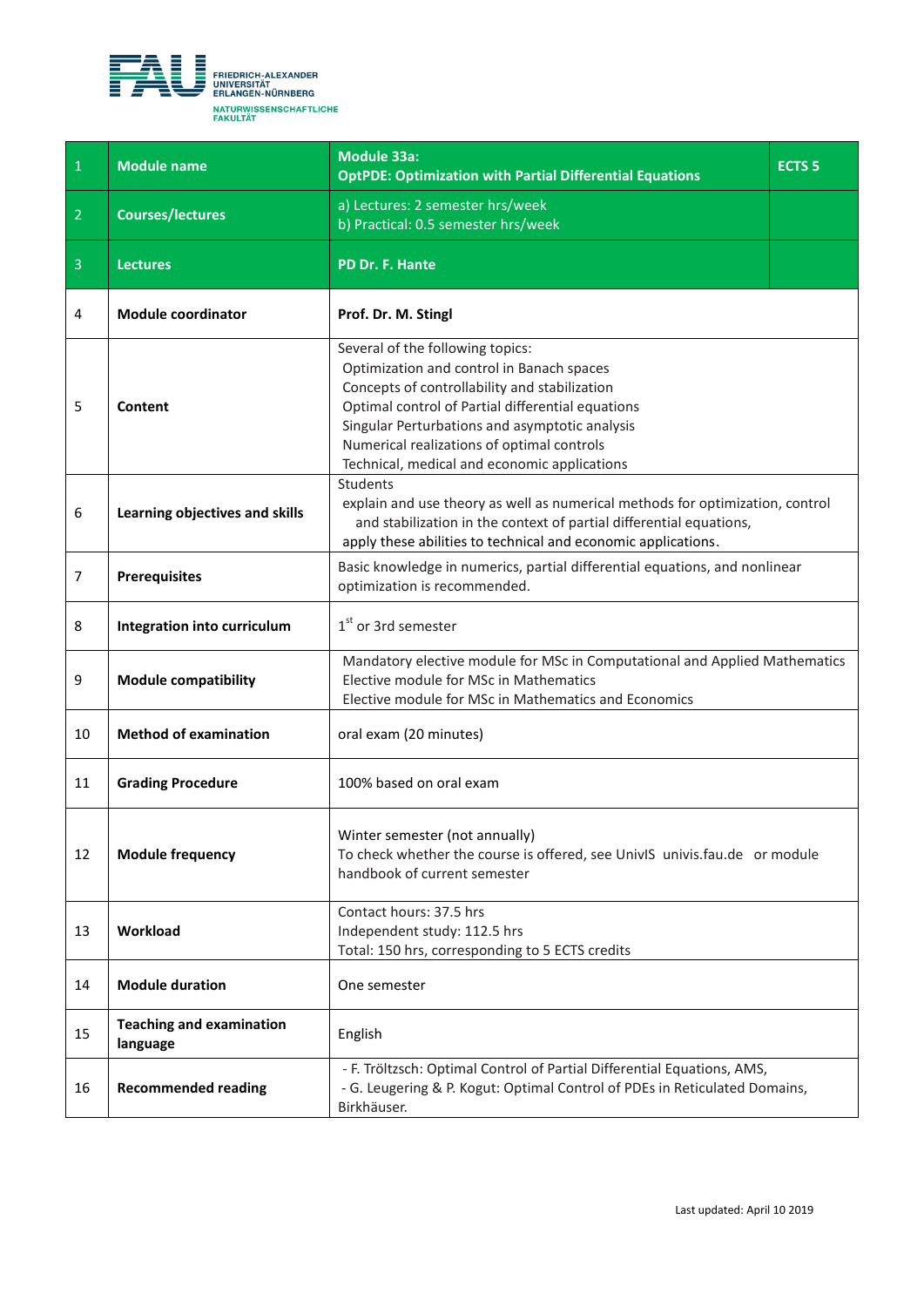<span id="page-17-0"></span>

| $\blacklozenge$ | <b>Module name</b>                          | Module 33a:<br><b>OptPDE: Optimization with Partial Differential Equations</b>                                                                                                                                                                                                                                                      | <b>ECTS<sub>5</sub></b> |
|-----------------|---------------------------------------------|-------------------------------------------------------------------------------------------------------------------------------------------------------------------------------------------------------------------------------------------------------------------------------------------------------------------------------------|-------------------------|
| $\overline{2}$  | <b>Courses/lectures</b>                     | a) Lectures: 2 semester hrs/week<br>b) Practical: 0.5 semester hrs/week                                                                                                                                                                                                                                                             |                         |
| $\overline{3}$  | <b>Lectures</b>                             | PD Dr. F. Hante                                                                                                                                                                                                                                                                                                                     |                         |
| 4               | <b>Module coordinator</b>                   | Prof. Dr. M. Stingl                                                                                                                                                                                                                                                                                                                 |                         |
| 5               | Content                                     | Several of the following topics:<br>Optimization and control in Banach spaces<br>Concepts of controllability and stabilization<br>Optimal control of Partial differential equations<br>Singular Perturbations and asymptotic analysis<br>Numerical realizations of optimal controls<br>Technical, medical and economic applications |                         |
| 6               | Learning objectives and skills              | Students<br>explain and use theory as well as numerical methods for optimization, control<br>and stabilization in the context of partial differential equations,<br>apply these abilities to technical and economic applications.                                                                                                   |                         |
| 7               | <b>Prerequisites</b>                        | Basic knowledge in numerics, partial differential equations, and nonlinear<br>optimization is recommended.                                                                                                                                                                                                                          |                         |
| 8               | Integration into curriculum                 | $1st$ or 3rd semester                                                                                                                                                                                                                                                                                                               |                         |
| 9               | <b>Module compatibility</b>                 | Mandatory elective module for MSc in Computational and Applied Mathematics<br>Elective module for MSc in Mathematics<br>Elective module for MSc in Mathematics and Economics                                                                                                                                                        |                         |
| 10              | <b>Method of examination</b>                | oral exam (20 minutes)                                                                                                                                                                                                                                                                                                              |                         |
| 11              | <b>Grading Procedure</b>                    | 100% based on oral exam                                                                                                                                                                                                                                                                                                             |                         |
| 12              | <b>Module frequency</b>                     | Winter semester (not annually)<br>To check whether the course is offered, see UnivIS univis.fau.de or module<br>handbook of current semester                                                                                                                                                                                        |                         |
| 13              | Workload                                    | Contact hours: 37.5 hrs<br>Independent study: 112.5 hrs<br>Total: 150 hrs, corresponding to 5 ECTS credits                                                                                                                                                                                                                          |                         |
| 14              | <b>Module duration</b>                      | One semester                                                                                                                                                                                                                                                                                                                        |                         |
| 15              | <b>Teaching and examination</b><br>language | English                                                                                                                                                                                                                                                                                                                             |                         |
| 16              | <b>Recommended reading</b>                  | - F. Tröltzsch: Optimal Control of Partial Differential Equations, AMS,<br>- G. Leugering & P. Kogut: Optimal Control of PDEs in Reticulated Domains,<br>Birkhäuser.                                                                                                                                                                |                         |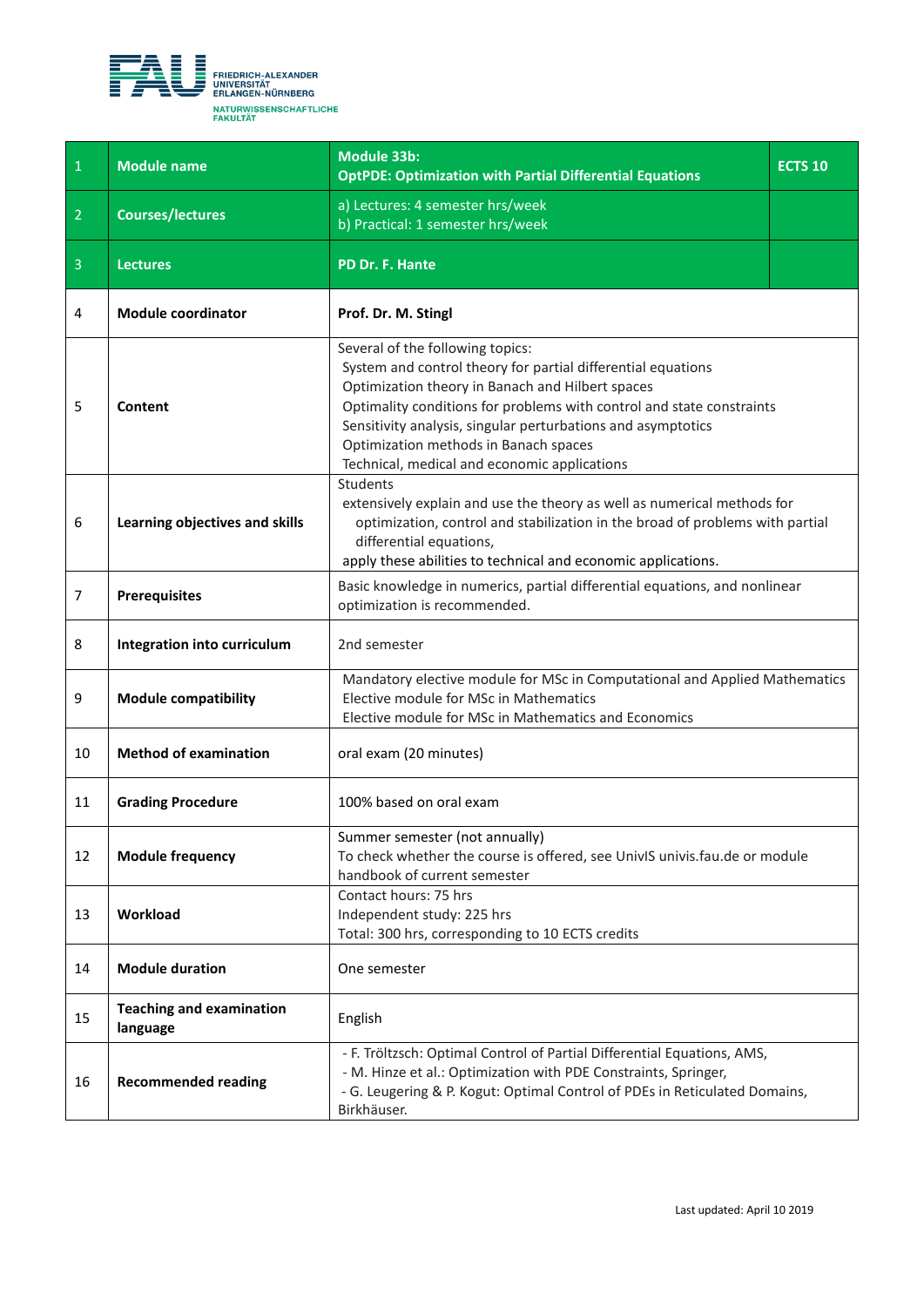<span id="page-18-0"></span>

| $\mathbf{1}$   | <b>Module name</b>                          | Module 33b:<br><b>OptPDE: Optimization with Partial Differential Equations</b>                                                                                                                                                                                                                                                                                                         | <b>ECTS 10</b> |
|----------------|---------------------------------------------|----------------------------------------------------------------------------------------------------------------------------------------------------------------------------------------------------------------------------------------------------------------------------------------------------------------------------------------------------------------------------------------|----------------|
| $\overline{2}$ | <b>Courses/lectures</b>                     | a) Lectures: 4 semester hrs/week<br>b) Practical: 1 semester hrs/week                                                                                                                                                                                                                                                                                                                  |                |
| $\overline{3}$ | <b>Lectures</b>                             | PD Dr. F. Hante                                                                                                                                                                                                                                                                                                                                                                        |                |
| 4              | <b>Module coordinator</b>                   | Prof. Dr. M. Stingl                                                                                                                                                                                                                                                                                                                                                                    |                |
| 5              | Content                                     | Several of the following topics:<br>System and control theory for partial differential equations<br>Optimization theory in Banach and Hilbert spaces<br>Optimality conditions for problems with control and state constraints<br>Sensitivity analysis, singular perturbations and asymptotics<br>Optimization methods in Banach spaces<br>Technical, medical and economic applications |                |
| 6              | Learning objectives and skills              | Students<br>extensively explain and use the theory as well as numerical methods for<br>optimization, control and stabilization in the broad of problems with partial<br>differential equations,<br>apply these abilities to technical and economic applications.                                                                                                                       |                |
| $\overline{7}$ | <b>Prerequisites</b>                        | Basic knowledge in numerics, partial differential equations, and nonlinear<br>optimization is recommended.                                                                                                                                                                                                                                                                             |                |
| 8              | Integration into curriculum                 | 2nd semester                                                                                                                                                                                                                                                                                                                                                                           |                |
| 9              | <b>Module compatibility</b>                 | Mandatory elective module for MSc in Computational and Applied Mathematics<br>Elective module for MSc in Mathematics<br>Elective module for MSc in Mathematics and Economics                                                                                                                                                                                                           |                |
| 10             | <b>Method of examination</b>                | oral exam (20 minutes)                                                                                                                                                                                                                                                                                                                                                                 |                |
| 11             | <b>Grading Procedure</b>                    | 100% based on oral exam                                                                                                                                                                                                                                                                                                                                                                |                |
| 12             | <b>Module frequency</b>                     | Summer semester (not annually)<br>To check whether the course is offered, see UnivIS univis.fau.de or module<br>handbook of current semester                                                                                                                                                                                                                                           |                |
| 13             | Workload                                    | Contact hours: 75 hrs<br>Independent study: 225 hrs<br>Total: 300 hrs, corresponding to 10 ECTS credits                                                                                                                                                                                                                                                                                |                |
| 14             | <b>Module duration</b>                      | One semester                                                                                                                                                                                                                                                                                                                                                                           |                |
| 15             | <b>Teaching and examination</b><br>language | English                                                                                                                                                                                                                                                                                                                                                                                |                |
| 16             | <b>Recommended reading</b>                  | - F. Tröltzsch: Optimal Control of Partial Differential Equations, AMS,<br>- M. Hinze et al.: Optimization with PDE Constraints, Springer,<br>- G. Leugering & P. Kogut: Optimal Control of PDEs in Reticulated Domains,<br>Birkhäuser.                                                                                                                                                |                |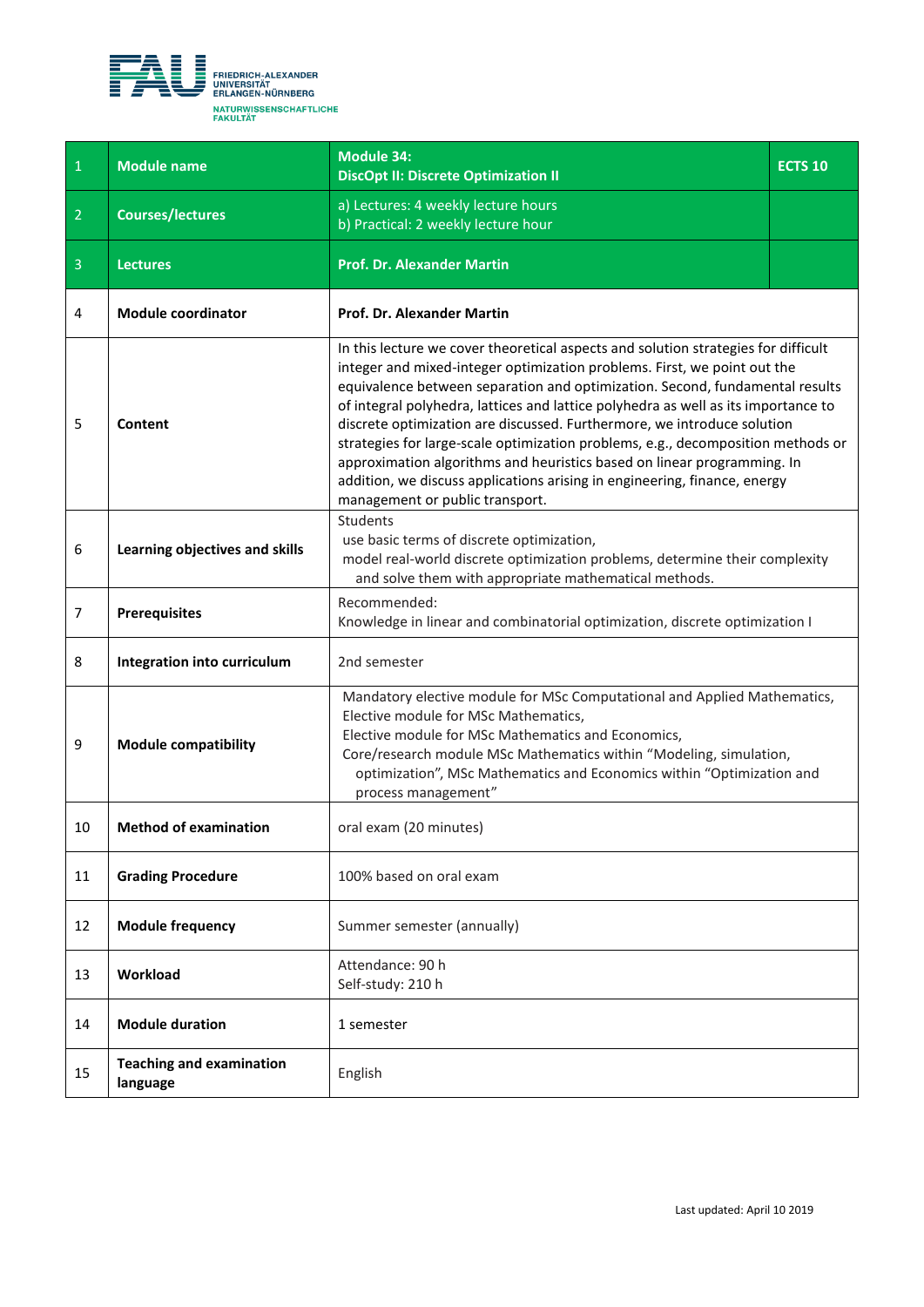<span id="page-19-0"></span>

| $\mathbf{1}$   | <b>Module name</b>                          | <b>Module 34:</b><br><b>DiscOpt II: Discrete Optimization II</b>                                                                                                                                                                                                                                                                                                                                                                                                                                                                                                                                                                                                                               | <b>ECTS 10</b> |
|----------------|---------------------------------------------|------------------------------------------------------------------------------------------------------------------------------------------------------------------------------------------------------------------------------------------------------------------------------------------------------------------------------------------------------------------------------------------------------------------------------------------------------------------------------------------------------------------------------------------------------------------------------------------------------------------------------------------------------------------------------------------------|----------------|
| $\overline{2}$ | <b>Courses/lectures</b>                     | a) Lectures: 4 weekly lecture hours<br>b) Practical: 2 weekly lecture hour                                                                                                                                                                                                                                                                                                                                                                                                                                                                                                                                                                                                                     |                |
| 3              | <b>Lectures</b>                             | <b>Prof. Dr. Alexander Martin</b>                                                                                                                                                                                                                                                                                                                                                                                                                                                                                                                                                                                                                                                              |                |
| 4              | <b>Module coordinator</b>                   | Prof. Dr. Alexander Martin                                                                                                                                                                                                                                                                                                                                                                                                                                                                                                                                                                                                                                                                     |                |
| 5              | Content                                     | In this lecture we cover theoretical aspects and solution strategies for difficult<br>integer and mixed-integer optimization problems. First, we point out the<br>equivalence between separation and optimization. Second, fundamental results<br>of integral polyhedra, lattices and lattice polyhedra as well as its importance to<br>discrete optimization are discussed. Furthermore, we introduce solution<br>strategies for large-scale optimization problems, e.g., decomposition methods or<br>approximation algorithms and heuristics based on linear programming. In<br>addition, we discuss applications arising in engineering, finance, energy<br>management or public transport. |                |
| 6              | Learning objectives and skills              | <b>Students</b><br>use basic terms of discrete optimization,<br>model real-world discrete optimization problems, determine their complexity<br>and solve them with appropriate mathematical methods.                                                                                                                                                                                                                                                                                                                                                                                                                                                                                           |                |
| $\overline{7}$ | <b>Prerequisites</b>                        | Recommended:<br>Knowledge in linear and combinatorial optimization, discrete optimization I                                                                                                                                                                                                                                                                                                                                                                                                                                                                                                                                                                                                    |                |
| 8              | Integration into curriculum                 | 2nd semester                                                                                                                                                                                                                                                                                                                                                                                                                                                                                                                                                                                                                                                                                   |                |
| 9              | <b>Module compatibility</b>                 | Mandatory elective module for MSc Computational and Applied Mathematics,<br>Elective module for MSc Mathematics,<br>Elective module for MSc Mathematics and Economics,<br>Core/research module MSc Mathematics within "Modeling, simulation,<br>optimization", MSc Mathematics and Economics within "Optimization and<br>process management"                                                                                                                                                                                                                                                                                                                                                   |                |
| 10             | <b>Method of examination</b>                | oral exam (20 minutes)                                                                                                                                                                                                                                                                                                                                                                                                                                                                                                                                                                                                                                                                         |                |
| 11             | <b>Grading Procedure</b>                    | 100% based on oral exam                                                                                                                                                                                                                                                                                                                                                                                                                                                                                                                                                                                                                                                                        |                |
| 12             | <b>Module frequency</b>                     | Summer semester (annually)                                                                                                                                                                                                                                                                                                                                                                                                                                                                                                                                                                                                                                                                     |                |
| 13             | Workload                                    | Attendance: 90 h<br>Self-study: 210 h                                                                                                                                                                                                                                                                                                                                                                                                                                                                                                                                                                                                                                                          |                |
| 14             | <b>Module duration</b>                      | 1 semester                                                                                                                                                                                                                                                                                                                                                                                                                                                                                                                                                                                                                                                                                     |                |
| 15             | <b>Teaching and examination</b><br>language | English                                                                                                                                                                                                                                                                                                                                                                                                                                                                                                                                                                                                                                                                                        |                |